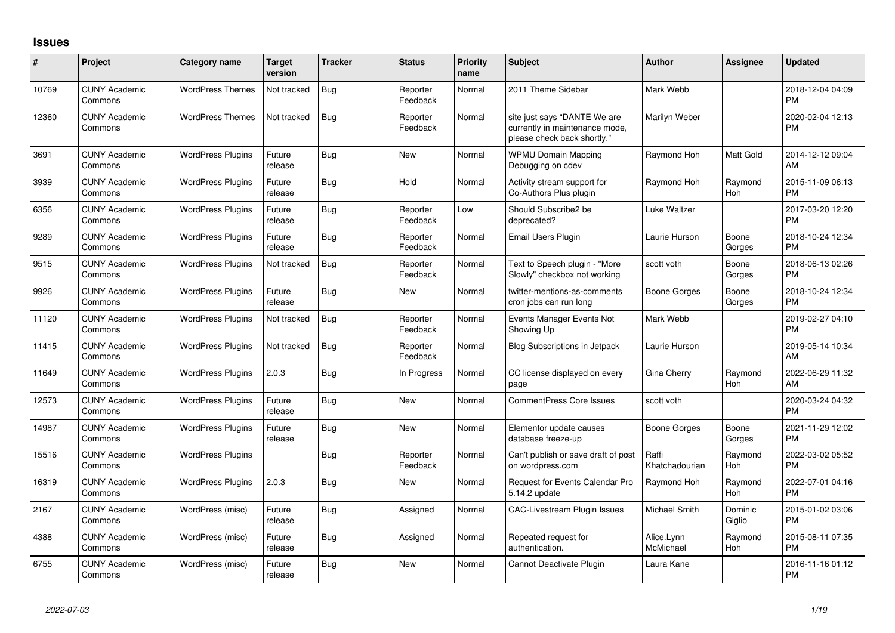## **Issues**

| #     | Project                         | <b>Category name</b>     | <b>Target</b><br>version | <b>Tracker</b> | <b>Status</b>        | Priority<br>name | <b>Subject</b>                                                                                | <b>Author</b>           | <b>Assignee</b>   | <b>Updated</b>                |
|-------|---------------------------------|--------------------------|--------------------------|----------------|----------------------|------------------|-----------------------------------------------------------------------------------------------|-------------------------|-------------------|-------------------------------|
| 10769 | <b>CUNY Academic</b><br>Commons | <b>WordPress Themes</b>  | Not tracked              | Bug            | Reporter<br>Feedback | Normal           | 2011 Theme Sidebar                                                                            | Mark Webb               |                   | 2018-12-04 04:09<br><b>PM</b> |
| 12360 | <b>CUNY Academic</b><br>Commons | <b>WordPress Themes</b>  | Not tracked              | Bug            | Reporter<br>Feedback | Normal           | site just says "DANTE We are<br>currently in maintenance mode,<br>please check back shortly." | Marilyn Weber           |                   | 2020-02-04 12:13<br><b>PM</b> |
| 3691  | <b>CUNY Academic</b><br>Commons | <b>WordPress Plugins</b> | Future<br>release        | Bug            | <b>New</b>           | Normal           | <b>WPMU Domain Mapping</b><br>Debugging on cdev                                               | Raymond Hoh             | Matt Gold         | 2014-12-12 09:04<br><b>AM</b> |
| 3939  | <b>CUNY Academic</b><br>Commons | <b>WordPress Plugins</b> | Future<br>release        | Bug            | Hold                 | Normal           | Activity stream support for<br>Co-Authors Plus plugin                                         | Raymond Hoh             | Raymond<br>Hoh    | 2015-11-09 06:13<br><b>PM</b> |
| 6356  | <b>CUNY Academic</b><br>Commons | <b>WordPress Plugins</b> | Future<br>release        | Bug            | Reporter<br>Feedback | Low              | Should Subscribe2 be<br>deprecated?                                                           | Luke Waltzer            |                   | 2017-03-20 12:20<br><b>PM</b> |
| 9289  | <b>CUNY Academic</b><br>Commons | <b>WordPress Plugins</b> | Future<br>release        | Bug            | Reporter<br>Feedback | Normal           | Email Users Plugin                                                                            | Laurie Hurson           | Boone<br>Gorges   | 2018-10-24 12:34<br><b>PM</b> |
| 9515  | <b>CUNY Academic</b><br>Commons | <b>WordPress Plugins</b> | Not tracked              | Bug            | Reporter<br>Feedback | Normal           | Text to Speech plugin - "More<br>Slowly" checkbox not working                                 | scott voth              | Boone<br>Gorges   | 2018-06-13 02:26<br><b>PM</b> |
| 9926  | <b>CUNY Academic</b><br>Commons | <b>WordPress Plugins</b> | Future<br>release        | Bug            | New                  | Normal           | twitter-mentions-as-comments<br>cron jobs can run long                                        | Boone Gorges            | Boone<br>Gorges   | 2018-10-24 12:34<br>PM.       |
| 11120 | <b>CUNY Academic</b><br>Commons | <b>WordPress Plugins</b> | Not tracked              | Bug            | Reporter<br>Feedback | Normal           | Events Manager Events Not<br>Showing Up                                                       | Mark Webb               |                   | 2019-02-27 04:10<br><b>PM</b> |
| 11415 | <b>CUNY Academic</b><br>Commons | <b>WordPress Plugins</b> | Not tracked              | <b>Bug</b>     | Reporter<br>Feedback | Normal           | Blog Subscriptions in Jetpack                                                                 | Laurie Hurson           |                   | 2019-05-14 10:34<br><b>AM</b> |
| 11649 | <b>CUNY Academic</b><br>Commons | <b>WordPress Plugins</b> | 2.0.3                    | Bug            | In Progress          | Normal           | CC license displayed on every<br>page                                                         | Gina Cherry             | Raymond<br>Hoh    | 2022-06-29 11:32<br><b>AM</b> |
| 12573 | <b>CUNY Academic</b><br>Commons | <b>WordPress Plugins</b> | Future<br>release        | Bug            | New                  | Normal           | <b>CommentPress Core Issues</b>                                                               | scott voth              |                   | 2020-03-24 04:32<br><b>PM</b> |
| 14987 | <b>CUNY Academic</b><br>Commons | <b>WordPress Plugins</b> | Future<br>release        | Bug            | New                  | Normal           | Elementor update causes<br>database freeze-up                                                 | Boone Gorges            | Boone<br>Gorges   | 2021-11-29 12:02<br><b>PM</b> |
| 15516 | <b>CUNY Academic</b><br>Commons | <b>WordPress Plugins</b> |                          | Bug            | Reporter<br>Feedback | Normal           | Can't publish or save draft of post<br>on wordpress.com                                       | Raffi<br>Khatchadourian | Raymond<br>Hoh    | 2022-03-02 05:52<br><b>PM</b> |
| 16319 | <b>CUNY Academic</b><br>Commons | <b>WordPress Plugins</b> | 2.0.3                    | Bug            | New                  | Normal           | Request for Events Calendar Pro<br>5.14.2 update                                              | Raymond Hoh             | Raymond<br>Hoh    | 2022-07-01 04:16<br><b>PM</b> |
| 2167  | <b>CUNY Academic</b><br>Commons | WordPress (misc)         | Future<br>release        | Bug            | Assigned             | Normal           | <b>CAC-Livestream Plugin Issues</b>                                                           | Michael Smith           | Dominic<br>Giglio | 2015-01-02 03:06<br><b>PM</b> |
| 4388  | <b>CUNY Academic</b><br>Commons | WordPress (misc)         | Future<br>release        | Bug            | Assigned             | Normal           | Repeated request for<br>authentication.                                                       | Alice.Lynn<br>McMichael | Raymond<br>Hoh    | 2015-08-11 07:35<br><b>PM</b> |
| 6755  | <b>CUNY Academic</b><br>Commons | WordPress (misc)         | Future<br>release        | Bug            | New                  | Normal           | Cannot Deactivate Plugin                                                                      | Laura Kane              |                   | 2016-11-16 01:12<br>PM        |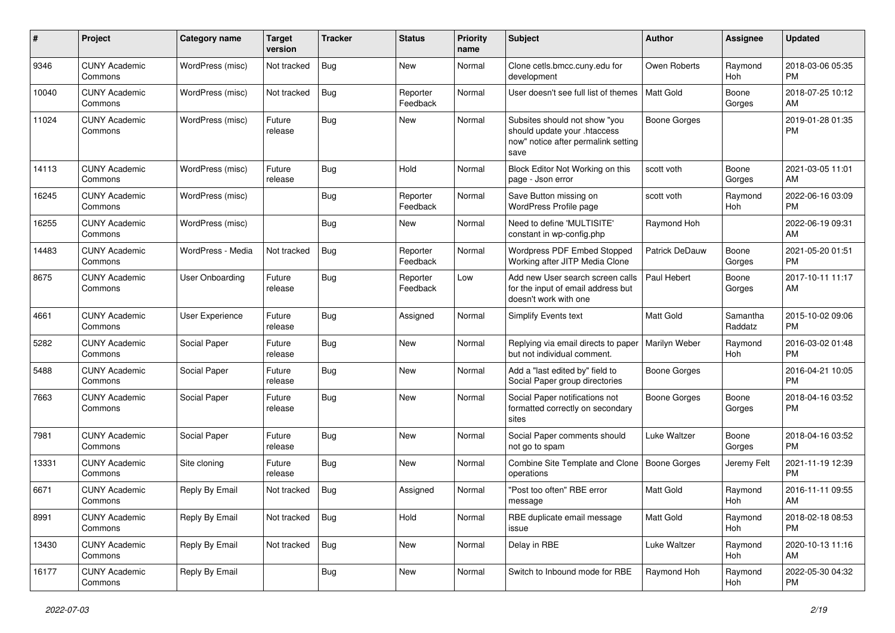| #     | Project                         | Category name     | <b>Target</b><br>version | <b>Tracker</b> | <b>Status</b>        | Priority<br>name | <b>Subject</b>                                                                                               | Author                | <b>Assignee</b>     | <b>Updated</b>                |
|-------|---------------------------------|-------------------|--------------------------|----------------|----------------------|------------------|--------------------------------------------------------------------------------------------------------------|-----------------------|---------------------|-------------------------------|
| 9346  | <b>CUNY Academic</b><br>Commons | WordPress (misc)  | Not tracked              | <b>Bug</b>     | <b>New</b>           | Normal           | Clone cetls.bmcc.cuny.edu for<br>development                                                                 | Owen Roberts          | Raymond<br>Hoh      | 2018-03-06 05:35<br><b>PM</b> |
| 10040 | <b>CUNY Academic</b><br>Commons | WordPress (misc)  | Not tracked              | <b>Bug</b>     | Reporter<br>Feedback | Normal           | User doesn't see full list of themes                                                                         | Matt Gold             | Boone<br>Gorges     | 2018-07-25 10:12<br>AM        |
| 11024 | <b>CUNY Academic</b><br>Commons | WordPress (misc)  | Future<br>release        | Bug            | New                  | Normal           | Subsites should not show "you<br>should update your .htaccess<br>now" notice after permalink setting<br>save | <b>Boone Gorges</b>   |                     | 2019-01-28 01:35<br><b>PM</b> |
| 14113 | <b>CUNY Academic</b><br>Commons | WordPress (misc)  | Future<br>release        | Bug            | Hold                 | Normal           | Block Editor Not Working on this<br>page - Json error                                                        | scott voth            | Boone<br>Gorges     | 2021-03-05 11:01<br>AM        |
| 16245 | <b>CUNY Academic</b><br>Commons | WordPress (misc)  |                          | Bug            | Reporter<br>Feedback | Normal           | Save Button missing on<br>WordPress Profile page                                                             | scott voth            | Raymond<br>Hoh      | 2022-06-16 03:09<br><b>PM</b> |
| 16255 | <b>CUNY Academic</b><br>Commons | WordPress (misc)  |                          | Bug            | New                  | Normal           | Need to define 'MULTISITE'<br>constant in wp-config.php                                                      | Raymond Hoh           |                     | 2022-06-19 09:31<br>AM        |
| 14483 | <b>CUNY Academic</b><br>Commons | WordPress - Media | Not tracked              | <b>Bug</b>     | Reporter<br>Feedback | Normal           | Wordpress PDF Embed Stopped<br>Working after JITP Media Clone                                                | <b>Patrick DeDauw</b> | Boone<br>Gorges     | 2021-05-20 01:51<br><b>PM</b> |
| 8675  | <b>CUNY Academic</b><br>Commons | User Onboarding   | Future<br>release        | Bug            | Reporter<br>Feedback | Low              | Add new User search screen calls<br>for the input of email address but<br>doesn't work with one              | Paul Hebert           | Boone<br>Gorges     | 2017-10-11 11:17<br>AM        |
| 4661  | <b>CUNY Academic</b><br>Commons | User Experience   | Future<br>release        | Bug            | Assigned             | Normal           | <b>Simplify Events text</b>                                                                                  | <b>Matt Gold</b>      | Samantha<br>Raddatz | 2015-10-02 09:06<br><b>PM</b> |
| 5282  | <b>CUNY Academic</b><br>Commons | Social Paper      | Future<br>release        | Bug            | <b>New</b>           | Normal           | Replying via email directs to paper<br>but not individual comment.                                           | Marilyn Weber         | Raymond<br>Hoh      | 2016-03-02 01:48<br><b>PM</b> |
| 5488  | <b>CUNY Academic</b><br>Commons | Social Paper      | Future<br>release        | Bug            | <b>New</b>           | Normal           | Add a "last edited by" field to<br>Social Paper group directories                                            | <b>Boone Gorges</b>   |                     | 2016-04-21 10:05<br><b>PM</b> |
| 7663  | <b>CUNY Academic</b><br>Commons | Social Paper      | Future<br>release        | Bug            | New                  | Normal           | Social Paper notifications not<br>formatted correctly on secondary<br>sites                                  | <b>Boone Gorges</b>   | Boone<br>Gorges     | 2018-04-16 03:52<br><b>PM</b> |
| 7981  | <b>CUNY Academic</b><br>Commons | Social Paper      | Future<br>release        | Bug            | <b>New</b>           | Normal           | Social Paper comments should<br>not go to spam                                                               | Luke Waltzer          | Boone<br>Gorges     | 2018-04-16 03:52<br><b>PM</b> |
| 13331 | <b>CUNY Academic</b><br>Commons | Site cloning      | Future<br>release        | Bug            | New                  | Normal           | Combine Site Template and Clone<br>operations                                                                | Boone Gorges          | Jeremy Felt         | 2021-11-19 12:39<br><b>PM</b> |
| 6671  | <b>CUNY Academic</b><br>Commons | Reply By Email    | Not tracked              | Bug            | Assigned             | Normal           | "Post too often" RBE error<br>message                                                                        | <b>Matt Gold</b>      | Raymond<br>Hoh      | 2016-11-11 09:55<br>AM        |
| 8991  | <b>CUNY Academic</b><br>Commons | Reply By Email    | Not tracked              | Bug            | Hold                 | Normal           | RBE duplicate email message<br>issue                                                                         | Matt Gold             | Raymond<br>Hoh      | 2018-02-18 08:53<br><b>PM</b> |
| 13430 | <b>CUNY Academic</b><br>Commons | Reply By Email    | Not tracked              | <b>Bug</b>     | New                  | Normal           | Delay in RBE                                                                                                 | Luke Waltzer          | Raymond<br>Hoh      | 2020-10-13 11:16<br>AM        |
| 16177 | <b>CUNY Academic</b><br>Commons | Reply By Email    |                          | <b>Bug</b>     | New                  | Normal           | Switch to Inbound mode for RBE                                                                               | Raymond Hoh           | Raymond<br>Hoh      | 2022-05-30 04:32<br><b>PM</b> |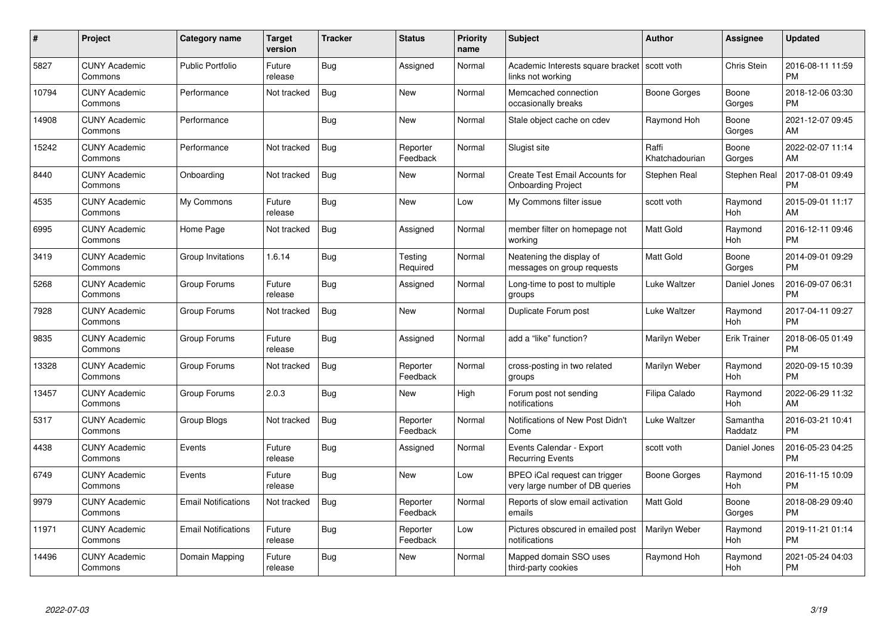| $\#$  | Project                         | <b>Category name</b>       | Target<br>version | <b>Tracker</b> | <b>Status</b>        | Priority<br>name | <b>Subject</b>                                                      | <b>Author</b>           | <b>Assignee</b>     | <b>Updated</b>                |
|-------|---------------------------------|----------------------------|-------------------|----------------|----------------------|------------------|---------------------------------------------------------------------|-------------------------|---------------------|-------------------------------|
| 5827  | <b>CUNY Academic</b><br>Commons | <b>Public Portfolio</b>    | Future<br>release | Bug            | Assigned             | Normal           | Academic Interests square bracket   scott voth<br>links not working |                         | <b>Chris Stein</b>  | 2016-08-11 11:59<br><b>PM</b> |
| 10794 | <b>CUNY Academic</b><br>Commons | Performance                | Not tracked       | Bug            | <b>New</b>           | Normal           | Memcached connection<br>occasionally breaks                         | Boone Gorges            | Boone<br>Gorges     | 2018-12-06 03:30<br><b>PM</b> |
| 14908 | <b>CUNY Academic</b><br>Commons | Performance                |                   | <b>Bug</b>     | <b>New</b>           | Normal           | Stale object cache on cdev                                          | Raymond Hoh             | Boone<br>Gorges     | 2021-12-07 09:45<br>AM        |
| 15242 | <b>CUNY Academic</b><br>Commons | Performance                | Not tracked       | <b>Bug</b>     | Reporter<br>Feedback | Normal           | Slugist site                                                        | Raffi<br>Khatchadourian | Boone<br>Gorges     | 2022-02-07 11:14<br>AM        |
| 8440  | <b>CUNY Academic</b><br>Commons | Onboarding                 | Not tracked       | Bug            | <b>New</b>           | Normal           | Create Test Email Accounts for<br><b>Onboarding Project</b>         | Stephen Real            | Stephen Real        | 2017-08-01 09:49<br><b>PM</b> |
| 4535  | <b>CUNY Academic</b><br>Commons | My Commons                 | Future<br>release | Bug            | <b>New</b>           | Low              | My Commons filter issue                                             | scott voth              | Raymond<br>Hoh      | 2015-09-01 11:17<br>AM        |
| 6995  | <b>CUNY Academic</b><br>Commons | Home Page                  | Not tracked       | Bug            | Assigned             | Normal           | member filter on homepage not<br>workina                            | Matt Gold               | Raymond<br>Hoh      | 2016-12-11 09:46<br><b>PM</b> |
| 3419  | <b>CUNY Academic</b><br>Commons | Group Invitations          | 1.6.14            | Bug            | Testing<br>Required  | Normal           | Neatening the display of<br>messages on group requests              | Matt Gold               | Boone<br>Gorges     | 2014-09-01 09:29<br><b>PM</b> |
| 5268  | <b>CUNY Academic</b><br>Commons | Group Forums               | Future<br>release | Bug            | Assigned             | Normal           | Long-time to post to multiple<br>groups                             | Luke Waltzer            | Daniel Jones        | 2016-09-07 06:31<br><b>PM</b> |
| 7928  | <b>CUNY Academic</b><br>Commons | Group Forums               | Not tracked       | Bug            | New                  | Normal           | Duplicate Forum post                                                | Luke Waltzer            | Raymond<br>Hoh      | 2017-04-11 09:27<br><b>PM</b> |
| 9835  | <b>CUNY Academic</b><br>Commons | Group Forums               | Future<br>release | <b>Bug</b>     | Assigned             | Normal           | add a "like" function?                                              | Marilyn Weber           | Erik Trainer        | 2018-06-05 01:49<br><b>PM</b> |
| 13328 | <b>CUNY Academic</b><br>Commons | Group Forums               | Not tracked       | <b>Bug</b>     | Reporter<br>Feedback | Normal           | cross-posting in two related<br>groups                              | Marilyn Weber           | Raymond<br>Hoh      | 2020-09-15 10:39<br><b>PM</b> |
| 13457 | <b>CUNY Academic</b><br>Commons | Group Forums               | 2.0.3             | Bug            | New                  | High             | Forum post not sending<br>notifications                             | Filipa Calado           | Raymond<br>Hoh      | 2022-06-29 11:32<br>AM        |
| 5317  | <b>CUNY Academic</b><br>Commons | Group Blogs                | Not tracked       | <b>Bug</b>     | Reporter<br>Feedback | Normal           | Notifications of New Post Didn't<br>Come                            | Luke Waltzer            | Samantha<br>Raddatz | 2016-03-21 10:41<br><b>PM</b> |
| 4438  | <b>CUNY Academic</b><br>Commons | Events                     | Future<br>release | <b>Bug</b>     | Assigned             | Normal           | Events Calendar - Export<br><b>Recurring Events</b>                 | scott voth              | Daniel Jones        | 2016-05-23 04:25<br><b>PM</b> |
| 6749  | <b>CUNY Academic</b><br>Commons | Events                     | Future<br>release | Bug            | New                  | Low              | BPEO iCal request can trigger<br>very large number of DB queries    | Boone Gorges            | Raymond<br>Hoh      | 2016-11-15 10:09<br><b>PM</b> |
| 9979  | <b>CUNY Academic</b><br>Commons | <b>Email Notifications</b> | Not tracked       | Bug            | Reporter<br>Feedback | Normal           | Reports of slow email activation<br>emails                          | <b>Matt Gold</b>        | Boone<br>Gorges     | 2018-08-29 09:40<br><b>PM</b> |
| 11971 | <b>CUNY Academic</b><br>Commons | <b>Email Notifications</b> | Future<br>release | Bug            | Reporter<br>Feedback | Low              | Pictures obscured in emailed post<br>notifications                  | Marilyn Weber           | Raymond<br>Hoh      | 2019-11-21 01:14<br><b>PM</b> |
| 14496 | CUNY Academic<br>Commons        | Domain Mapping             | Future<br>release | Bug            | <b>New</b>           | Normal           | Mapped domain SSO uses<br>third-party cookies                       | Raymond Hoh             | Raymond<br>Hoh      | 2021-05-24 04:03<br><b>PM</b> |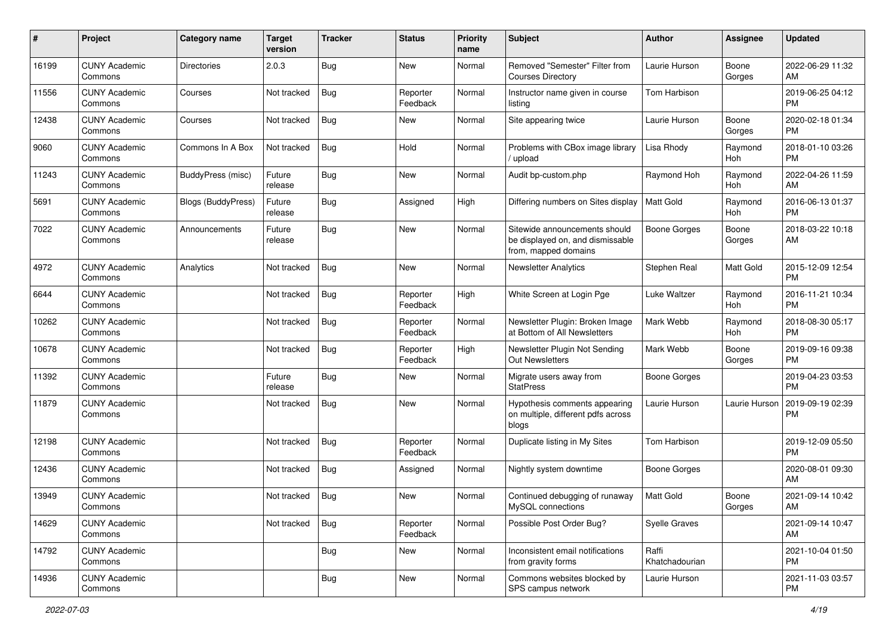| #     | Project                         | <b>Category name</b>      | <b>Target</b><br>version | <b>Tracker</b> | <b>Status</b>        | Priority<br>name | <b>Subject</b>                                                                            | <b>Author</b>           | <b>Assignee</b> | <b>Updated</b>                |
|-------|---------------------------------|---------------------------|--------------------------|----------------|----------------------|------------------|-------------------------------------------------------------------------------------------|-------------------------|-----------------|-------------------------------|
| 16199 | <b>CUNY Academic</b><br>Commons | <b>Directories</b>        | 2.0.3                    | Bug            | New                  | Normal           | Removed "Semester" Filter from<br><b>Courses Directory</b>                                | Laurie Hurson           | Boone<br>Gorges | 2022-06-29 11:32<br>AM        |
| 11556 | <b>CUNY Academic</b><br>Commons | Courses                   | Not tracked              | <b>Bug</b>     | Reporter<br>Feedback | Normal           | Instructor name given in course<br>listing                                                | Tom Harbison            |                 | 2019-06-25 04:12<br><b>PM</b> |
| 12438 | <b>CUNY Academic</b><br>Commons | Courses                   | Not tracked              | Bug            | New                  | Normal           | Site appearing twice                                                                      | Laurie Hurson           | Boone<br>Gorges | 2020-02-18 01:34<br><b>PM</b> |
| 9060  | <b>CUNY Academic</b><br>Commons | Commons In A Box          | Not tracked              | <b>Bug</b>     | Hold                 | Normal           | Problems with CBox image library<br>/ upload                                              | Lisa Rhody              | Raymond<br>Hoh  | 2018-01-10 03:26<br><b>PM</b> |
| 11243 | <b>CUNY Academic</b><br>Commons | BuddyPress (misc)         | Future<br>release        | Bug            | New                  | Normal           | Audit bp-custom.php                                                                       | Raymond Hoh             | Raymond<br>Hoh  | 2022-04-26 11:59<br>AM        |
| 5691  | <b>CUNY Academic</b><br>Commons | <b>Blogs (BuddyPress)</b> | Future<br>release        | <b>Bug</b>     | Assigned             | High             | Differing numbers on Sites display                                                        | <b>Matt Gold</b>        | Raymond<br>Hoh  | 2016-06-13 01:37<br><b>PM</b> |
| 7022  | <b>CUNY Academic</b><br>Commons | Announcements             | Future<br>release        | Bug            | New                  | Normal           | Sitewide announcements should<br>be displayed on, and dismissable<br>from, mapped domains | Boone Gorges            | Boone<br>Gorges | 2018-03-22 10:18<br>AM        |
| 4972  | <b>CUNY Academic</b><br>Commons | Analytics                 | Not tracked              | Bug            | New                  | Normal           | <b>Newsletter Analytics</b>                                                               | Stephen Real            | Matt Gold       | 2015-12-09 12:54<br><b>PM</b> |
| 6644  | <b>CUNY Academic</b><br>Commons |                           | Not tracked              | <b>Bug</b>     | Reporter<br>Feedback | High             | White Screen at Login Pge                                                                 | Luke Waltzer            | Raymond<br>Hoh  | 2016-11-21 10:34<br><b>PM</b> |
| 10262 | <b>CUNY Academic</b><br>Commons |                           | Not tracked              | <b>Bug</b>     | Reporter<br>Feedback | Normal           | Newsletter Plugin: Broken Image<br>at Bottom of All Newsletters                           | Mark Webb               | Raymond<br>Hoh  | 2018-08-30 05:17<br><b>PM</b> |
| 10678 | <b>CUNY Academic</b><br>Commons |                           | Not tracked              | <b>Bug</b>     | Reporter<br>Feedback | High             | Newsletter Plugin Not Sending<br><b>Out Newsletters</b>                                   | Mark Webb               | Boone<br>Gorges | 2019-09-16 09:38<br><b>PM</b> |
| 11392 | <b>CUNY Academic</b><br>Commons |                           | Future<br>release        | Bug            | New                  | Normal           | Migrate users away from<br><b>StatPress</b>                                               | Boone Gorges            |                 | 2019-04-23 03:53<br><b>PM</b> |
| 11879 | <b>CUNY Academic</b><br>Commons |                           | Not tracked              | Bug            | New                  | Normal           | Hypothesis comments appearing<br>on multiple, different pdfs across<br>blogs              | Laurie Hurson           | Laurie Hurson   | 2019-09-19 02:39<br><b>PM</b> |
| 12198 | <b>CUNY Academic</b><br>Commons |                           | Not tracked              | Bug            | Reporter<br>Feedback | Normal           | Duplicate listing in My Sites                                                             | Tom Harbison            |                 | 2019-12-09 05:50<br><b>PM</b> |
| 12436 | <b>CUNY Academic</b><br>Commons |                           | Not tracked              | Bug            | Assigned             | Normal           | Nightly system downtime                                                                   | <b>Boone Gorges</b>     |                 | 2020-08-01 09:30<br>AM        |
| 13949 | <b>CUNY Academic</b><br>Commons |                           | Not tracked              | <b>Bug</b>     | New                  | Normal           | Continued debugging of runaway<br>MySQL connections                                       | <b>Matt Gold</b>        | Boone<br>Gorges | 2021-09-14 10:42<br>AM        |
| 14629 | <b>CUNY Academic</b><br>Commons |                           | Not tracked              | <b>Bug</b>     | Reporter<br>Feedback | Normal           | Possible Post Order Bug?                                                                  | <b>Syelle Graves</b>    |                 | 2021-09-14 10:47<br>AM        |
| 14792 | <b>CUNY Academic</b><br>Commons |                           |                          | <b>Bug</b>     | New                  | Normal           | Inconsistent email notifications<br>from gravity forms                                    | Raffi<br>Khatchadourian |                 | 2021-10-04 01:50<br><b>PM</b> |
| 14936 | <b>CUNY Academic</b><br>Commons |                           |                          | <b>Bug</b>     | New                  | Normal           | Commons websites blocked by<br>SPS campus network                                         | Laurie Hurson           |                 | 2021-11-03 03:57<br><b>PM</b> |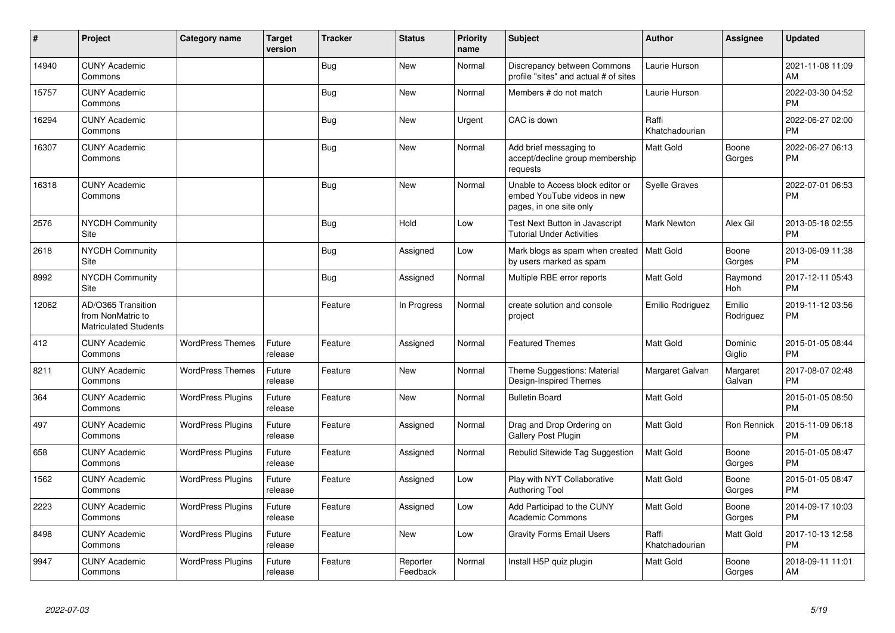| #     | Project                                                                 | <b>Category name</b>     | <b>Target</b><br>version | <b>Tracker</b> | <b>Status</b>        | <b>Priority</b><br>name | <b>Subject</b>                                                                             | <b>Author</b>           | Assignee            | <b>Updated</b>                |
|-------|-------------------------------------------------------------------------|--------------------------|--------------------------|----------------|----------------------|-------------------------|--------------------------------------------------------------------------------------------|-------------------------|---------------------|-------------------------------|
| 14940 | <b>CUNY Academic</b><br>Commons                                         |                          |                          | <b>Bug</b>     | <b>New</b>           | Normal                  | Discrepancy between Commons<br>profile "sites" and actual # of sites                       | Laurie Hurson           |                     | 2021-11-08 11:09<br>AM        |
| 15757 | <b>CUNY Academic</b><br>Commons                                         |                          |                          | <b>Bug</b>     | <b>New</b>           | Normal                  | Members # do not match                                                                     | Laurie Hurson           |                     | 2022-03-30 04:52<br><b>PM</b> |
| 16294 | <b>CUNY Academic</b><br>Commons                                         |                          |                          | <b>Bug</b>     | <b>New</b>           | Urgent                  | CAC is down                                                                                | Raffi<br>Khatchadourian |                     | 2022-06-27 02:00<br><b>PM</b> |
| 16307 | <b>CUNY Academic</b><br>Commons                                         |                          |                          | Bug            | <b>New</b>           | Normal                  | Add brief messaging to<br>accept/decline group membership<br>requests                      | <b>Matt Gold</b>        | Boone<br>Gorges     | 2022-06-27 06:13<br><b>PM</b> |
| 16318 | <b>CUNY Academic</b><br>Commons                                         |                          |                          | <b>Bug</b>     | <b>New</b>           | Normal                  | Unable to Access block editor or<br>embed YouTube videos in new<br>pages, in one site only | <b>Syelle Graves</b>    |                     | 2022-07-01 06:53<br><b>PM</b> |
| 2576  | <b>NYCDH Community</b><br>Site                                          |                          |                          | <b>Bug</b>     | Hold                 | Low                     | Test Next Button in Javascript<br><b>Tutorial Under Activities</b>                         | <b>Mark Newton</b>      | Alex Gil            | 2013-05-18 02:55<br><b>PM</b> |
| 2618  | <b>NYCDH Community</b><br>Site                                          |                          |                          | Bug            | Assigned             | Low                     | Mark blogs as spam when created   Matt Gold<br>by users marked as spam                     |                         | Boone<br>Gorges     | 2013-06-09 11:38<br><b>PM</b> |
| 8992  | <b>NYCDH Community</b><br>Site                                          |                          |                          | <b>Bug</b>     | Assigned             | Normal                  | Multiple RBE error reports                                                                 | <b>Matt Gold</b>        | Raymond<br>Hoh      | 2017-12-11 05:43<br><b>PM</b> |
| 12062 | AD/O365 Transition<br>from NonMatric to<br><b>Matriculated Students</b> |                          |                          | Feature        | In Progress          | Normal                  | create solution and console<br>project                                                     | Emilio Rodriguez        | Emilio<br>Rodriguez | 2019-11-12 03:56<br><b>PM</b> |
| 412   | <b>CUNY Academic</b><br>Commons                                         | <b>WordPress Themes</b>  | Future<br>release        | Feature        | Assigned             | Normal                  | <b>Featured Themes</b>                                                                     | <b>Matt Gold</b>        | Dominic<br>Giglio   | 2015-01-05 08:44<br><b>PM</b> |
| 8211  | <b>CUNY Academic</b><br>Commons                                         | <b>WordPress Themes</b>  | Future<br>release        | Feature        | <b>New</b>           | Normal                  | Theme Suggestions: Material<br>Design-Inspired Themes                                      | Margaret Galvan         | Margaret<br>Galvan  | 2017-08-07 02:48<br><b>PM</b> |
| 364   | <b>CUNY Academic</b><br>Commons                                         | <b>WordPress Plugins</b> | Future<br>release        | Feature        | <b>New</b>           | Normal                  | <b>Bulletin Board</b>                                                                      | Matt Gold               |                     | 2015-01-05 08:50<br><b>PM</b> |
| 497   | <b>CUNY Academic</b><br>Commons                                         | <b>WordPress Plugins</b> | Future<br>release        | Feature        | Assigned             | Normal                  | Drag and Drop Ordering on<br>Gallery Post Plugin                                           | <b>Matt Gold</b>        | Ron Rennick         | 2015-11-09 06:18<br><b>PM</b> |
| 658   | <b>CUNY Academic</b><br>Commons                                         | <b>WordPress Plugins</b> | Future<br>release        | Feature        | Assigned             | Normal                  | Rebulid Sitewide Tag Suggestion                                                            | <b>Matt Gold</b>        | Boone<br>Gorges     | 2015-01-05 08:47<br><b>PM</b> |
| 1562  | <b>CUNY Academic</b><br>Commons                                         | <b>WordPress Plugins</b> | Future<br>release        | Feature        | Assigned             | Low                     | Play with NYT Collaborative<br><b>Authoring Tool</b>                                       | <b>Matt Gold</b>        | Boone<br>Gorges     | 2015-01-05 08:47<br><b>PM</b> |
| 2223  | <b>CUNY Academic</b><br>Commons                                         | <b>WordPress Plugins</b> | Future<br>release        | Feature        | Assigned             | Low                     | Add Participad to the CUNY<br><b>Academic Commons</b>                                      | <b>Matt Gold</b>        | Boone<br>Gorges     | 2014-09-17 10:03<br><b>PM</b> |
| 8498  | <b>CUNY Academic</b><br>Commons                                         | <b>WordPress Plugins</b> | Future<br>release        | Feature        | <b>New</b>           | Low                     | <b>Gravity Forms Email Users</b>                                                           | Raffi<br>Khatchadourian | Matt Gold           | 2017-10-13 12:58<br><b>PM</b> |
| 9947  | <b>CUNY Academic</b><br>Commons                                         | <b>WordPress Plugins</b> | Future<br>release        | Feature        | Reporter<br>Feedback | Normal                  | Install H5P quiz plugin                                                                    | <b>Matt Gold</b>        | Boone<br>Gorges     | 2018-09-11 11:01<br>AM        |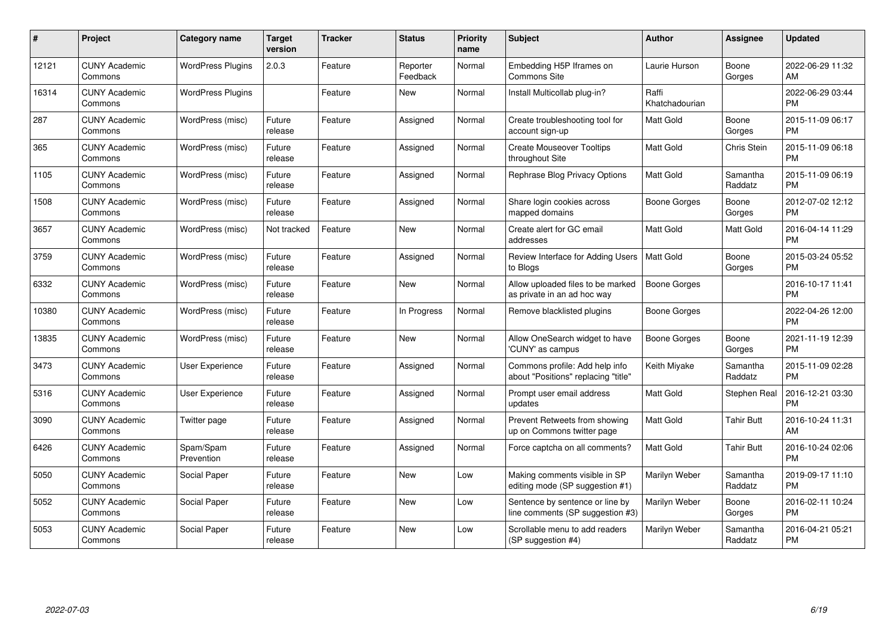| $\#$  | <b>Project</b>                  | <b>Category name</b>     | <b>Target</b><br>version | <b>Tracker</b> | <b>Status</b>        | <b>Priority</b><br>name | <b>Subject</b>                                                        | <b>Author</b>           | Assignee            | <b>Updated</b>                |
|-------|---------------------------------|--------------------------|--------------------------|----------------|----------------------|-------------------------|-----------------------------------------------------------------------|-------------------------|---------------------|-------------------------------|
| 12121 | <b>CUNY Academic</b><br>Commons | <b>WordPress Plugins</b> | 2.0.3                    | Feature        | Reporter<br>Feedback | Normal                  | Embedding H5P Iframes on<br><b>Commons Site</b>                       | Laurie Hurson           | Boone<br>Gorges     | 2022-06-29 11:32<br>AM        |
| 16314 | <b>CUNY Academic</b><br>Commons | <b>WordPress Plugins</b> |                          | Feature        | New                  | Normal                  | Install Multicollab plug-in?                                          | Raffi<br>Khatchadourian |                     | 2022-06-29 03:44<br><b>PM</b> |
| 287   | <b>CUNY Academic</b><br>Commons | WordPress (misc)         | Future<br>release        | Feature        | Assigned             | Normal                  | Create troubleshooting tool for<br>account sign-up                    | Matt Gold               | Boone<br>Gorges     | 2015-11-09 06:17<br><b>PM</b> |
| 365   | <b>CUNY Academic</b><br>Commons | WordPress (misc)         | Future<br>release        | Feature        | Assigned             | Normal                  | <b>Create Mouseover Tooltips</b><br>throughout Site                   | <b>Matt Gold</b>        | Chris Stein         | 2015-11-09 06:18<br><b>PM</b> |
| 1105  | <b>CUNY Academic</b><br>Commons | WordPress (misc)         | Future<br>release        | Feature        | Assigned             | Normal                  | Rephrase Blog Privacy Options                                         | <b>Matt Gold</b>        | Samantha<br>Raddatz | 2015-11-09 06:19<br><b>PM</b> |
| 1508  | <b>CUNY Academic</b><br>Commons | WordPress (misc)         | Future<br>release        | Feature        | Assigned             | Normal                  | Share login cookies across<br>mapped domains                          | Boone Gorges            | Boone<br>Gorges     | 2012-07-02 12:12<br><b>PM</b> |
| 3657  | <b>CUNY Academic</b><br>Commons | WordPress (misc)         | Not tracked              | Feature        | New                  | Normal                  | Create alert for GC email<br>addresses                                | <b>Matt Gold</b>        | Matt Gold           | 2016-04-14 11:29<br><b>PM</b> |
| 3759  | <b>CUNY Academic</b><br>Commons | WordPress (misc)         | Future<br>release        | Feature        | Assigned             | Normal                  | Review Interface for Adding Users<br>to Blogs                         | <b>Matt Gold</b>        | Boone<br>Gorges     | 2015-03-24 05:52<br><b>PM</b> |
| 6332  | <b>CUNY Academic</b><br>Commons | WordPress (misc)         | Future<br>release        | Feature        | <b>New</b>           | Normal                  | Allow uploaded files to be marked<br>as private in an ad hoc way      | <b>Boone Gorges</b>     |                     | 2016-10-17 11:41<br><b>PM</b> |
| 10380 | <b>CUNY Academic</b><br>Commons | WordPress (misc)         | Future<br>release        | Feature        | In Progress          | Normal                  | Remove blacklisted plugins                                            | Boone Gorges            |                     | 2022-04-26 12:00<br><b>PM</b> |
| 13835 | <b>CUNY Academic</b><br>Commons | WordPress (misc)         | Future<br>release        | Feature        | New                  | Normal                  | Allow OneSearch widget to have<br>'CUNY' as campus                    | Boone Gorges            | Boone<br>Gorges     | 2021-11-19 12:39<br><b>PM</b> |
| 3473  | <b>CUNY Academic</b><br>Commons | User Experience          | Future<br>release        | Feature        | Assigned             | Normal                  | Commons profile: Add help info<br>about "Positions" replacing "title" | Keith Miyake            | Samantha<br>Raddatz | 2015-11-09 02:28<br><b>PM</b> |
| 5316  | <b>CUNY Academic</b><br>Commons | User Experience          | Future<br>release        | Feature        | Assigned             | Normal                  | Prompt user email address<br>updates                                  | Matt Gold               | Stephen Real        | 2016-12-21 03:30<br><b>PM</b> |
| 3090  | <b>CUNY Academic</b><br>Commons | Twitter page             | Future<br>release        | Feature        | Assigned             | Normal                  | Prevent Retweets from showing<br>up on Commons twitter page           | Matt Gold               | Tahir Butt          | 2016-10-24 11:31<br>AM        |
| 6426  | <b>CUNY Academic</b><br>Commons | Spam/Spam<br>Prevention  | Future<br>release        | Feature        | Assigned             | Normal                  | Force captcha on all comments?                                        | Matt Gold               | Tahir Butt          | 2016-10-24 02:06<br><b>PM</b> |
| 5050  | <b>CUNY Academic</b><br>Commons | Social Paper             | Future<br>release        | Feature        | New                  | Low                     | Making comments visible in SP<br>editing mode (SP suggestion #1)      | Marilyn Weber           | Samantha<br>Raddatz | 2019-09-17 11:10<br><b>PM</b> |
| 5052  | <b>CUNY Academic</b><br>Commons | Social Paper             | Future<br>release        | Feature        | <b>New</b>           | Low                     | Sentence by sentence or line by<br>line comments (SP suggestion #3)   | Marilyn Weber           | Boone<br>Gorges     | 2016-02-11 10:24<br><b>PM</b> |
| 5053  | <b>CUNY Academic</b><br>Commons | Social Paper             | Future<br>release        | Feature        | <b>New</b>           | Low                     | Scrollable menu to add readers<br>(SP suggestion #4)                  | Marilyn Weber           | Samantha<br>Raddatz | 2016-04-21 05:21<br><b>PM</b> |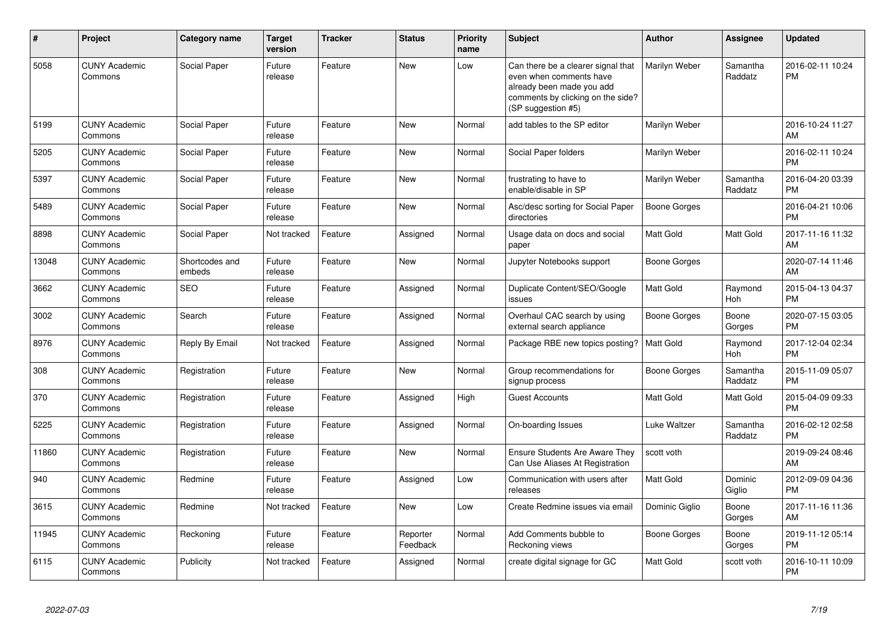| #     | <b>Project</b>                  | Category name            | <b>Target</b><br>version | <b>Tracker</b> | <b>Status</b>        | <b>Priority</b><br>name | <b>Subject</b>                                                                                                                                        | <b>Author</b>    | Assignee            | <b>Updated</b>                |
|-------|---------------------------------|--------------------------|--------------------------|----------------|----------------------|-------------------------|-------------------------------------------------------------------------------------------------------------------------------------------------------|------------------|---------------------|-------------------------------|
| 5058  | <b>CUNY Academic</b><br>Commons | Social Paper             | Future<br>release        | Feature        | New                  | Low                     | Can there be a clearer signal that<br>even when comments have<br>already been made you add<br>comments by clicking on the side?<br>(SP suggestion #5) | Marilyn Weber    | Samantha<br>Raddatz | 2016-02-11 10:24<br><b>PM</b> |
| 5199  | <b>CUNY Academic</b><br>Commons | Social Paper             | Future<br>release        | Feature        | <b>New</b>           | Normal                  | add tables to the SP editor                                                                                                                           | Marilyn Weber    |                     | 2016-10-24 11:27<br>AM        |
| 5205  | <b>CUNY Academic</b><br>Commons | Social Paper             | Future<br>release        | Feature        | <b>New</b>           | Normal                  | Social Paper folders                                                                                                                                  | Marilyn Weber    |                     | 2016-02-11 10:24<br><b>PM</b> |
| 5397  | <b>CUNY Academic</b><br>Commons | Social Paper             | Future<br>release        | Feature        | <b>New</b>           | Normal                  | frustrating to have to<br>enable/disable in SP                                                                                                        | Marilyn Weber    | Samantha<br>Raddatz | 2016-04-20 03:39<br><b>PM</b> |
| 5489  | <b>CUNY Academic</b><br>Commons | Social Paper             | Future<br>release        | Feature        | <b>New</b>           | Normal                  | Asc/desc sorting for Social Paper<br>directories                                                                                                      | Boone Gorges     |                     | 2016-04-21 10:06<br><b>PM</b> |
| 8898  | <b>CUNY Academic</b><br>Commons | Social Paper             | Not tracked              | Feature        | Assigned             | Normal                  | Usage data on docs and social<br>paper                                                                                                                | Matt Gold        | <b>Matt Gold</b>    | 2017-11-16 11:32<br>AM        |
| 13048 | <b>CUNY Academic</b><br>Commons | Shortcodes and<br>embeds | Future<br>release        | Feature        | <b>New</b>           | Normal                  | Jupyter Notebooks support                                                                                                                             | Boone Gorges     |                     | 2020-07-14 11:46<br>AM        |
| 3662  | <b>CUNY Academic</b><br>Commons | SEO                      | Future<br>release        | Feature        | Assigned             | Normal                  | Duplicate Content/SEO/Google<br>issues                                                                                                                | Matt Gold        | Raymond<br>Hoh      | 2015-04-13 04:37<br><b>PM</b> |
| 3002  | <b>CUNY Academic</b><br>Commons | Search                   | Future<br>release        | Feature        | Assigned             | Normal                  | Overhaul CAC search by using<br>external search appliance                                                                                             | Boone Gorges     | Boone<br>Gorges     | 2020-07-15 03:05<br><b>PM</b> |
| 8976  | <b>CUNY Academic</b><br>Commons | Reply By Email           | Not tracked              | Feature        | Assigned             | Normal                  | Package RBE new topics posting?                                                                                                                       | <b>Matt Gold</b> | Raymond<br>Hoh      | 2017-12-04 02:34<br><b>PM</b> |
| 308   | <b>CUNY Academic</b><br>Commons | Registration             | Future<br>release        | Feature        | <b>New</b>           | Normal                  | Group recommendations for<br>signup process                                                                                                           | Boone Gorges     | Samantha<br>Raddatz | 2015-11-09 05:07<br><b>PM</b> |
| 370   | <b>CUNY Academic</b><br>Commons | Registration             | Future<br>release        | Feature        | Assigned             | High                    | <b>Guest Accounts</b>                                                                                                                                 | Matt Gold        | Matt Gold           | 2015-04-09 09:33<br><b>PM</b> |
| 5225  | <b>CUNY Academic</b><br>Commons | Registration             | Future<br>release        | Feature        | Assigned             | Normal                  | On-boarding Issues                                                                                                                                    | Luke Waltzer     | Samantha<br>Raddatz | 2016-02-12 02:58<br><b>PM</b> |
| 11860 | <b>CUNY Academic</b><br>Commons | Registration             | Future<br>release        | Feature        | <b>New</b>           | Normal                  | <b>Ensure Students Are Aware They</b><br>Can Use Aliases At Registration                                                                              | scott voth       |                     | 2019-09-24 08:46<br>AM        |
| 940   | <b>CUNY Academic</b><br>Commons | Redmine                  | Future<br>release        | Feature        | Assigned             | Low                     | Communication with users after<br>releases                                                                                                            | Matt Gold        | Dominic<br>Giglio   | 2012-09-09 04:36<br><b>PM</b> |
| 3615  | <b>CUNY Academic</b><br>Commons | Redmine                  | Not tracked              | Feature        | <b>New</b>           | Low                     | Create Redmine issues via email                                                                                                                       | Dominic Giglio   | Boone<br>Gorges     | 2017-11-16 11:36<br>AM        |
| 11945 | <b>CUNY Academic</b><br>Commons | Reckoning                | Future<br>release        | Feature        | Reporter<br>Feedback | Normal                  | Add Comments bubble to<br>Reckoning views                                                                                                             | Boone Gorges     | Boone<br>Gorges     | 2019-11-12 05:14<br><b>PM</b> |
| 6115  | <b>CUNY Academic</b><br>Commons | Publicity                | Not tracked              | Feature        | Assigned             | Normal                  | create digital signage for GC                                                                                                                         | <b>Matt Gold</b> | scott voth          | 2016-10-11 10:09<br>PM        |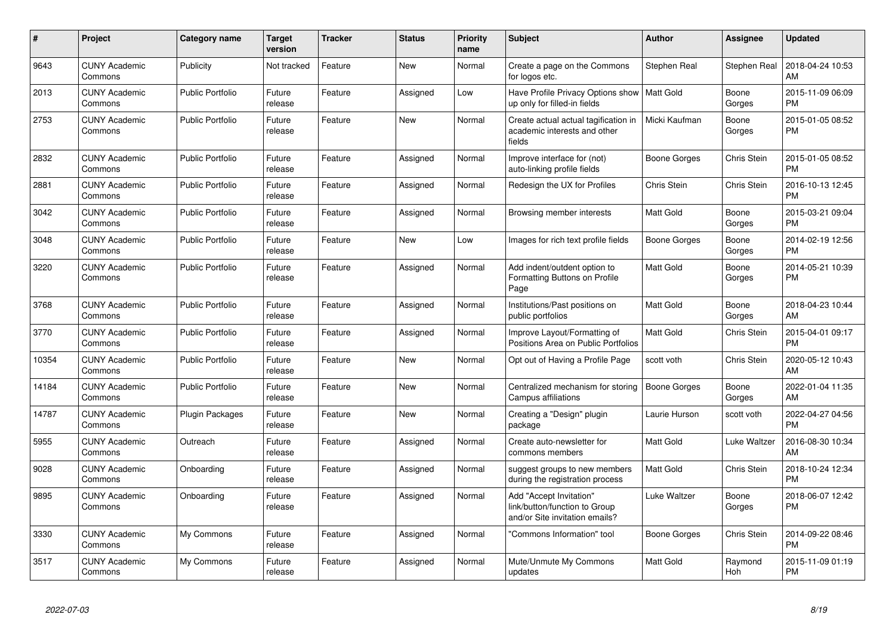| $\pmb{\#}$ | Project                         | <b>Category name</b>    | <b>Target</b><br>version | <b>Tracker</b> | <b>Status</b> | <b>Priority</b><br>name | <b>Subject</b>                                                                             | <b>Author</b>    | <b>Assignee</b>    | <b>Updated</b>                |
|------------|---------------------------------|-------------------------|--------------------------|----------------|---------------|-------------------------|--------------------------------------------------------------------------------------------|------------------|--------------------|-------------------------------|
| 9643       | <b>CUNY Academic</b><br>Commons | Publicity               | Not tracked              | Feature        | <b>New</b>    | Normal                  | Create a page on the Commons<br>for logos etc.                                             | Stephen Real     | Stephen Real       | 2018-04-24 10:53<br>AM        |
| 2013       | <b>CUNY Academic</b><br>Commons | <b>Public Portfolio</b> | Future<br>release        | Feature        | Assigned      | Low                     | Have Profile Privacy Options show<br>up only for filled-in fields                          | Matt Gold        | Boone<br>Gorges    | 2015-11-09 06:09<br><b>PM</b> |
| 2753       | <b>CUNY Academic</b><br>Commons | <b>Public Portfolio</b> | Future<br>release        | Feature        | New           | Normal                  | Create actual actual tagification in<br>academic interests and other<br>fields             | Micki Kaufman    | Boone<br>Gorges    | 2015-01-05 08:52<br><b>PM</b> |
| 2832       | <b>CUNY Academic</b><br>Commons | <b>Public Portfolio</b> | Future<br>release        | Feature        | Assigned      | Normal                  | Improve interface for (not)<br>auto-linking profile fields                                 | Boone Gorges     | Chris Stein        | 2015-01-05 08:52<br><b>PM</b> |
| 2881       | <b>CUNY Academic</b><br>Commons | Public Portfolio        | Future<br>release        | Feature        | Assigned      | Normal                  | Redesign the UX for Profiles                                                               | Chris Stein      | Chris Stein        | 2016-10-13 12:45<br><b>PM</b> |
| 3042       | <b>CUNY Academic</b><br>Commons | <b>Public Portfolio</b> | Future<br>release        | Feature        | Assigned      | Normal                  | Browsing member interests                                                                  | <b>Matt Gold</b> | Boone<br>Gorges    | 2015-03-21 09:04<br><b>PM</b> |
| 3048       | <b>CUNY Academic</b><br>Commons | <b>Public Portfolio</b> | Future<br>release        | Feature        | New           | Low                     | Images for rich text profile fields                                                        | Boone Gorges     | Boone<br>Gorges    | 2014-02-19 12:56<br><b>PM</b> |
| 3220       | <b>CUNY Academic</b><br>Commons | <b>Public Portfolio</b> | Future<br>release        | Feature        | Assigned      | Normal                  | Add indent/outdent option to<br>Formatting Buttons on Profile<br>Page                      | Matt Gold        | Boone<br>Gorges    | 2014-05-21 10:39<br><b>PM</b> |
| 3768       | <b>CUNY Academic</b><br>Commons | Public Portfolio        | Future<br>release        | Feature        | Assigned      | Normal                  | Institutions/Past positions on<br>public portfolios                                        | Matt Gold        | Boone<br>Gorges    | 2018-04-23 10:44<br>AM        |
| 3770       | <b>CUNY Academic</b><br>Commons | Public Portfolio        | Future<br>release        | Feature        | Assigned      | Normal                  | Improve Layout/Formatting of<br>Positions Area on Public Portfolios                        | Matt Gold        | Chris Stein        | 2015-04-01 09:17<br><b>PM</b> |
| 10354      | <b>CUNY Academic</b><br>Commons | <b>Public Portfolio</b> | Future<br>release        | Feature        | New           | Normal                  | Opt out of Having a Profile Page                                                           | scott voth       | Chris Stein        | 2020-05-12 10:43<br>AM        |
| 14184      | <b>CUNY Academic</b><br>Commons | <b>Public Portfolio</b> | Future<br>release        | Feature        | New           | Normal                  | Centralized mechanism for storing<br>Campus affiliations                                   | Boone Gorges     | Boone<br>Gorges    | 2022-01-04 11:35<br>AM        |
| 14787      | <b>CUNY Academic</b><br>Commons | <b>Plugin Packages</b>  | Future<br>release        | Feature        | <b>New</b>    | Normal                  | Creating a "Design" plugin<br>package                                                      | Laurie Hurson    | scott voth         | 2022-04-27 04:56<br><b>PM</b> |
| 5955       | <b>CUNY Academic</b><br>Commons | Outreach                | Future<br>release        | Feature        | Assigned      | Normal                  | Create auto-newsletter for<br>commons members                                              | Matt Gold        | Luke Waltzer       | 2016-08-30 10:34<br>AM        |
| 9028       | <b>CUNY Academic</b><br>Commons | Onboarding              | Future<br>release        | Feature        | Assigned      | Normal                  | suggest groups to new members<br>during the registration process                           | <b>Matt Gold</b> | Chris Stein        | 2018-10-24 12:34<br><b>PM</b> |
| 9895       | <b>CUNY Academic</b><br>Commons | Onboarding              | Future<br>release        | Feature        | Assigned      | Normal                  | Add "Accept Invitation"<br>link/button/function to Group<br>and/or Site invitation emails? | Luke Waltzer     | Boone<br>Gorges    | 2018-06-07 12:42<br><b>PM</b> |
| 3330       | <b>CUNY Academic</b><br>Commons | My Commons              | Future<br>release        | Feature        | Assigned      | Normal                  | "Commons Information" tool                                                                 | Boone Gorges     | <b>Chris Stein</b> | 2014-09-22 08:46<br><b>PM</b> |
| 3517       | <b>CUNY Academic</b><br>Commons | My Commons              | Future<br>release        | Feature        | Assigned      | Normal                  | Mute/Unmute My Commons<br>updates                                                          | <b>Matt Gold</b> | Raymond<br>Hoh     | 2015-11-09 01:19<br><b>PM</b> |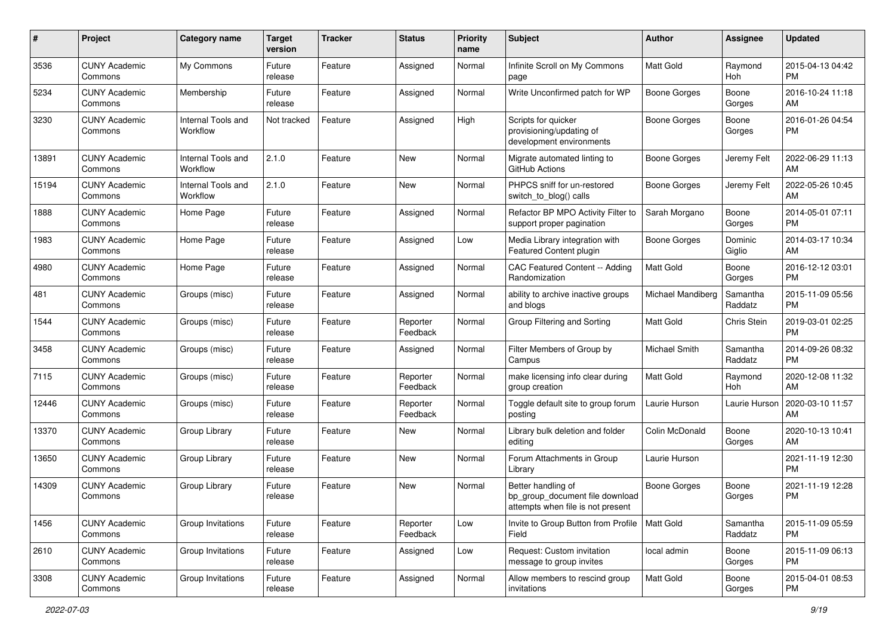| #     | Project                         | <b>Category name</b>           | <b>Target</b><br>version | <b>Tracker</b> | <b>Status</b>        | <b>Priority</b><br>name | <b>Subject</b>                                                                             | <b>Author</b>            | <b>Assignee</b>     | <b>Updated</b>                |
|-------|---------------------------------|--------------------------------|--------------------------|----------------|----------------------|-------------------------|--------------------------------------------------------------------------------------------|--------------------------|---------------------|-------------------------------|
| 3536  | <b>CUNY Academic</b><br>Commons | My Commons                     | Future<br>release        | Feature        | Assigned             | Normal                  | Infinite Scroll on My Commons<br>page                                                      | <b>Matt Gold</b>         | Raymond<br>Hoh      | 2015-04-13 04:42<br>PM.       |
| 5234  | <b>CUNY Academic</b><br>Commons | Membership                     | Future<br>release        | Feature        | Assigned             | Normal                  | Write Unconfirmed patch for WP                                                             | <b>Boone Gorges</b>      | Boone<br>Gorges     | 2016-10-24 11:18<br>AM        |
| 3230  | <b>CUNY Academic</b><br>Commons | Internal Tools and<br>Workflow | Not tracked              | Feature        | Assigned             | High                    | Scripts for quicker<br>provisioning/updating of<br>development environments                | Boone Gorges             | Boone<br>Gorges     | 2016-01-26 04:54<br><b>PM</b> |
| 13891 | <b>CUNY Academic</b><br>Commons | Internal Tools and<br>Workflow | 2.1.0                    | Feature        | New                  | Normal                  | Migrate automated linting to<br>GitHub Actions                                             | Boone Gorges             | Jeremy Felt         | 2022-06-29 11:13<br>AM        |
| 15194 | <b>CUNY Academic</b><br>Commons | Internal Tools and<br>Workflow | 2.1.0                    | Feature        | New                  | Normal                  | PHPCS sniff for un-restored<br>switch_to_blog() calls                                      | Boone Gorges             | Jeremy Felt         | 2022-05-26 10:45<br>AM        |
| 1888  | <b>CUNY Academic</b><br>Commons | Home Page                      | Future<br>release        | Feature        | Assigned             | Normal                  | Refactor BP MPO Activity Filter to<br>support proper pagination                            | Sarah Morgano            | Boone<br>Gorges     | 2014-05-01 07:11<br><b>PM</b> |
| 1983  | <b>CUNY Academic</b><br>Commons | Home Page                      | Future<br>release        | Feature        | Assigned             | Low                     | Media Library integration with<br>Featured Content plugin                                  | Boone Gorges             | Dominic<br>Giglio   | 2014-03-17 10:34<br>AM.       |
| 4980  | <b>CUNY Academic</b><br>Commons | Home Page                      | Future<br>release        | Feature        | Assigned             | Normal                  | CAC Featured Content -- Adding<br>Randomization                                            | Matt Gold                | Boone<br>Gorges     | 2016-12-12 03:01<br>PM.       |
| 481   | <b>CUNY Academic</b><br>Commons | Groups (misc)                  | Future<br>release        | Feature        | Assigned             | Normal                  | ability to archive inactive groups<br>and blogs                                            | <b>Michael Mandiberg</b> | Samantha<br>Raddatz | 2015-11-09 05:56<br>PM.       |
| 1544  | <b>CUNY Academic</b><br>Commons | Groups (misc)                  | Future<br>release        | Feature        | Reporter<br>Feedback | Normal                  | Group Filtering and Sorting                                                                | <b>Matt Gold</b>         | Chris Stein         | 2019-03-01 02:25<br><b>PM</b> |
| 3458  | <b>CUNY Academic</b><br>Commons | Groups (misc)                  | Future<br>release        | Feature        | Assigned             | Normal                  | Filter Members of Group by<br>Campus                                                       | Michael Smith            | Samantha<br>Raddatz | 2014-09-26 08:32<br><b>PM</b> |
| 7115  | <b>CUNY Academic</b><br>Commons | Groups (misc)                  | Future<br>release        | Feature        | Reporter<br>Feedback | Normal                  | make licensing info clear during<br>group creation                                         | <b>Matt Gold</b>         | Raymond<br>Hoh      | 2020-12-08 11:32<br>AM.       |
| 12446 | <b>CUNY Academic</b><br>Commons | Groups (misc)                  | Future<br>release        | Feature        | Reporter<br>Feedback | Normal                  | Toggle default site to group forum<br>posting                                              | Laurie Hurson            | Laurie Hurson       | 2020-03-10 11:57<br>AM        |
| 13370 | <b>CUNY Academic</b><br>Commons | Group Library                  | Future<br>release        | Feature        | New                  | Normal                  | Library bulk deletion and folder<br>editing                                                | Colin McDonald           | Boone<br>Gorges     | 2020-10-13 10:41<br>AM.       |
| 13650 | <b>CUNY Academic</b><br>Commons | Group Library                  | Future<br>release        | Feature        | New                  | Normal                  | Forum Attachments in Group<br>Library                                                      | Laurie Hurson            |                     | 2021-11-19 12:30<br><b>PM</b> |
| 14309 | <b>CUNY Academic</b><br>Commons | Group Library                  | Future<br>release        | Feature        | New                  | Normal                  | Better handling of<br>bp_group_document file download<br>attempts when file is not present | <b>Boone Gorges</b>      | Boone<br>Gorges     | 2021-11-19 12:28<br><b>PM</b> |
| 1456  | <b>CUNY Academic</b><br>Commons | Group Invitations              | Future<br>release        | Feature        | Reporter<br>Feedback | Low                     | Invite to Group Button from Profile<br>Field                                               | Matt Gold                | Samantha<br>Raddatz | 2015-11-09 05:59<br>PM        |
| 2610  | <b>CUNY Academic</b><br>Commons | Group Invitations              | Future<br>release        | Feature        | Assigned             | Low                     | Request: Custom invitation<br>message to group invites                                     | local admin              | Boone<br>Gorges     | 2015-11-09 06:13<br><b>PM</b> |
| 3308  | <b>CUNY Academic</b><br>Commons | Group Invitations              | Future<br>release        | Feature        | Assigned             | Normal                  | Allow members to rescind group<br>invitations                                              | Matt Gold                | Boone<br>Gorges     | 2015-04-01 08:53<br><b>PM</b> |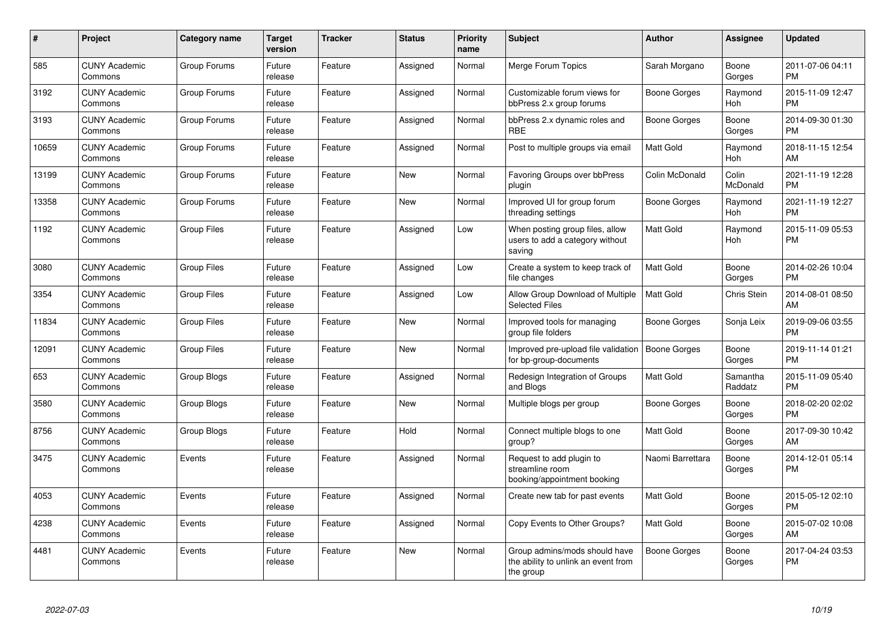| #     | Project                         | <b>Category name</b> | Target<br>version | <b>Tracker</b> | <b>Status</b> | <b>Priority</b><br>name | <b>Subject</b>                                                                    | <b>Author</b>       | <b>Assignee</b>     | <b>Updated</b>                |
|-------|---------------------------------|----------------------|-------------------|----------------|---------------|-------------------------|-----------------------------------------------------------------------------------|---------------------|---------------------|-------------------------------|
| 585   | <b>CUNY Academic</b><br>Commons | Group Forums         | Future<br>release | Feature        | Assigned      | Normal                  | Merge Forum Topics                                                                | Sarah Morgano       | Boone<br>Gorges     | 2011-07-06 04:11<br><b>PM</b> |
| 3192  | <b>CUNY Academic</b><br>Commons | Group Forums         | Future<br>release | Feature        | Assigned      | Normal                  | Customizable forum views for<br>bbPress 2.x group forums                          | Boone Gorges        | Raymond<br>Hoh      | 2015-11-09 12:47<br><b>PM</b> |
| 3193  | <b>CUNY Academic</b><br>Commons | Group Forums         | Future<br>release | Feature        | Assigned      | Normal                  | bbPress 2.x dynamic roles and<br><b>RBE</b>                                       | Boone Gorges        | Boone<br>Gorges     | 2014-09-30 01:30<br><b>PM</b> |
| 10659 | <b>CUNY Academic</b><br>Commons | Group Forums         | Future<br>release | Feature        | Assigned      | Normal                  | Post to multiple groups via email                                                 | Matt Gold           | Raymond<br>Hoh      | 2018-11-15 12:54<br>AM        |
| 13199 | <b>CUNY Academic</b><br>Commons | Group Forums         | Future<br>release | Feature        | New           | Normal                  | Favoring Groups over bbPress<br>plugin                                            | Colin McDonald      | Colin<br>McDonald   | 2021-11-19 12:28<br>PM.       |
| 13358 | <b>CUNY Academic</b><br>Commons | Group Forums         | Future<br>release | Feature        | <b>New</b>    | Normal                  | Improved UI for group forum<br>threading settings                                 | Boone Gorges        | Raymond<br>Hoh      | 2021-11-19 12:27<br><b>PM</b> |
| 1192  | <b>CUNY Academic</b><br>Commons | Group Files          | Future<br>release | Feature        | Assigned      | Low                     | When posting group files, allow<br>users to add a category without<br>saving      | <b>Matt Gold</b>    | Raymond<br>Hoh      | 2015-11-09 05:53<br><b>PM</b> |
| 3080  | <b>CUNY Academic</b><br>Commons | <b>Group Files</b>   | Future<br>release | Feature        | Assigned      | Low                     | Create a system to keep track of<br>file changes                                  | Matt Gold           | Boone<br>Gorges     | 2014-02-26 10:04<br><b>PM</b> |
| 3354  | <b>CUNY Academic</b><br>Commons | <b>Group Files</b>   | Future<br>release | Feature        | Assigned      | Low                     | Allow Group Download of Multiple<br><b>Selected Files</b>                         | Matt Gold           | Chris Stein         | 2014-08-01 08:50<br>AM        |
| 11834 | <b>CUNY Academic</b><br>Commons | <b>Group Files</b>   | Future<br>release | Feature        | <b>New</b>    | Normal                  | Improved tools for managing<br>group file folders                                 | Boone Gorges        | Sonja Leix          | 2019-09-06 03:55<br><b>PM</b> |
| 12091 | <b>CUNY Academic</b><br>Commons | <b>Group Files</b>   | Future<br>release | Feature        | <b>New</b>    | Normal                  | Improved pre-upload file validation<br>for bp-group-documents                     | Boone Gorges        | Boone<br>Gorges     | 2019-11-14 01:21<br><b>PM</b> |
| 653   | <b>CUNY Academic</b><br>Commons | Group Blogs          | Future<br>release | Feature        | Assigned      | Normal                  | Redesign Integration of Groups<br>and Blogs                                       | Matt Gold           | Samantha<br>Raddatz | 2015-11-09 05:40<br><b>PM</b> |
| 3580  | <b>CUNY Academic</b><br>Commons | Group Blogs          | Future<br>release | Feature        | New           | Normal                  | Multiple blogs per group                                                          | Boone Gorges        | Boone<br>Gorges     | 2018-02-20 02:02<br><b>PM</b> |
| 8756  | <b>CUNY Academic</b><br>Commons | Group Blogs          | Future<br>release | Feature        | Hold          | Normal                  | Connect multiple blogs to one<br>group?                                           | <b>Matt Gold</b>    | Boone<br>Gorges     | 2017-09-30 10:42<br>AM        |
| 3475  | <b>CUNY Academic</b><br>Commons | Events               | Future<br>release | Feature        | Assigned      | Normal                  | Request to add plugin to<br>streamline room<br>booking/appointment booking        | Naomi Barrettara    | Boone<br>Gorges     | 2014-12-01 05:14<br><b>PM</b> |
| 4053  | <b>CUNY Academic</b><br>Commons | Events               | Future<br>release | Feature        | Assigned      | Normal                  | Create new tab for past events                                                    | <b>Matt Gold</b>    | Boone<br>Gorges     | 2015-05-12 02:10<br><b>PM</b> |
| 4238  | <b>CUNY Academic</b><br>Commons | Events               | Future<br>release | Feature        | Assigned      | Normal                  | Copy Events to Other Groups?                                                      | <b>Matt Gold</b>    | Boone<br>Gorges     | 2015-07-02 10:08<br><b>AM</b> |
| 4481  | <b>CUNY Academic</b><br>Commons | Events               | Future<br>release | Feature        | <b>New</b>    | Normal                  | Group admins/mods should have<br>the ability to unlink an event from<br>the group | <b>Boone Gorges</b> | Boone<br>Gorges     | 2017-04-24 03:53<br><b>PM</b> |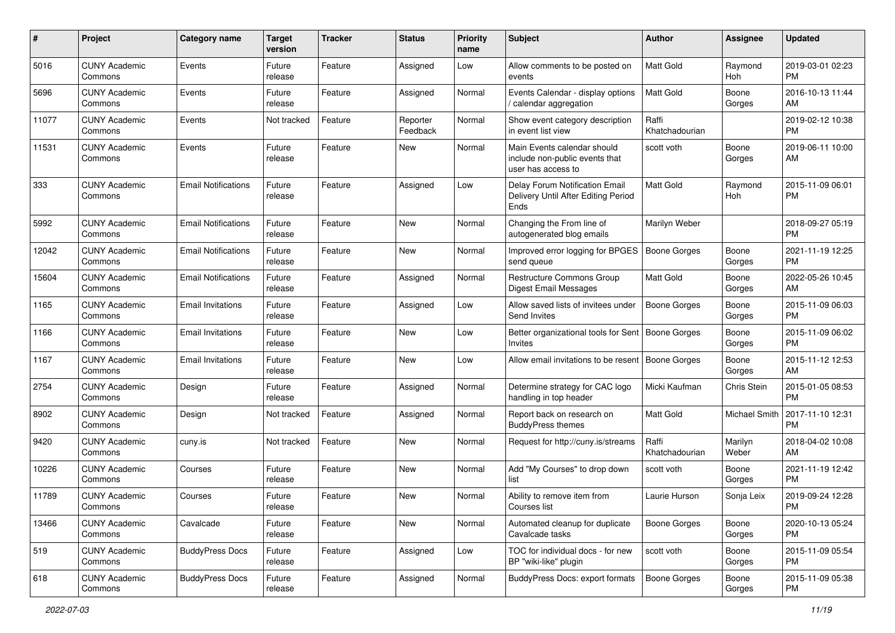| #     | Project                         | <b>Category name</b>       | <b>Target</b><br>version | Tracker | <b>Status</b>        | <b>Priority</b><br>name | Subject                                                                             | Author                  | Assignee         | <b>Updated</b>                |
|-------|---------------------------------|----------------------------|--------------------------|---------|----------------------|-------------------------|-------------------------------------------------------------------------------------|-------------------------|------------------|-------------------------------|
| 5016  | <b>CUNY Academic</b><br>Commons | Events                     | Future<br>release        | Feature | Assigned             | Low                     | Allow comments to be posted on<br>events                                            | Matt Gold               | Raymond<br>Hoh   | 2019-03-01 02:23<br><b>PM</b> |
| 5696  | <b>CUNY Academic</b><br>Commons | Events                     | Future<br>release        | Feature | Assigned             | Normal                  | Events Calendar - display options<br>/ calendar aggregation                         | Matt Gold               | Boone<br>Gorges  | 2016-10-13 11:44<br>AM        |
| 11077 | <b>CUNY Academic</b><br>Commons | Events                     | Not tracked              | Feature | Reporter<br>Feedback | Normal                  | Show event category description<br>in event list view                               | Raffi<br>Khatchadourian |                  | 2019-02-12 10:38<br><b>PM</b> |
| 11531 | <b>CUNY Academic</b><br>Commons | Events                     | Future<br>release        | Feature | <b>New</b>           | Normal                  | Main Events calendar should<br>include non-public events that<br>user has access to | scott voth              | Boone<br>Gorges  | 2019-06-11 10:00<br>AM        |
| 333   | <b>CUNY Academic</b><br>Commons | <b>Email Notifications</b> | Future<br>release        | Feature | Assigned             | Low                     | Delay Forum Notification Email<br>Delivery Until After Editing Period<br>Ends       | <b>Matt Gold</b>        | Raymond<br>Hoh   | 2015-11-09 06:01<br><b>PM</b> |
| 5992  | <b>CUNY Academic</b><br>Commons | <b>Email Notifications</b> | Future<br>release        | Feature | New                  | Normal                  | Changing the From line of<br>autogenerated blog emails                              | Marilyn Weber           |                  | 2018-09-27 05:19<br><b>PM</b> |
| 12042 | <b>CUNY Academic</b><br>Commons | <b>Email Notifications</b> | Future<br>release        | Feature | <b>New</b>           | Normal                  | Improved error logging for BPGES<br>send queue                                      | <b>Boone Gorges</b>     | Boone<br>Gorges  | 2021-11-19 12:25<br><b>PM</b> |
| 15604 | <b>CUNY Academic</b><br>Commons | <b>Email Notifications</b> | Future<br>release        | Feature | Assigned             | Normal                  | <b>Restructure Commons Group</b><br><b>Digest Email Messages</b>                    | Matt Gold               | Boone<br>Gorges  | 2022-05-26 10:45<br>AM        |
| 1165  | <b>CUNY Academic</b><br>Commons | <b>Email Invitations</b>   | Future<br>release        | Feature | Assigned             | Low                     | Allow saved lists of invitees under<br>Send Invites                                 | <b>Boone Gorges</b>     | Boone<br>Gorges  | 2015-11-09 06:03<br><b>PM</b> |
| 1166  | <b>CUNY Academic</b><br>Commons | <b>Email Invitations</b>   | Future<br>release        | Feature | <b>New</b>           | Low                     | Better organizational tools for Sent   Boone Gorges<br>Invites                      |                         | Boone<br>Gorges  | 2015-11-09 06:02<br>PM        |
| 1167  | <b>CUNY Academic</b><br>Commons | <b>Email Invitations</b>   | Future<br>release        | Feature | <b>New</b>           | Low                     | Allow email invitations to be resent                                                | Boone Gorges            | Boone<br>Gorges  | 2015-11-12 12:53<br>AM        |
| 2754  | <b>CUNY Academic</b><br>Commons | Design                     | Future<br>release        | Feature | Assigned             | Normal                  | Determine strategy for CAC logo<br>handling in top header                           | Micki Kaufman           | Chris Stein      | 2015-01-05 08:53<br><b>PM</b> |
| 8902  | <b>CUNY Academic</b><br>Commons | Design                     | Not tracked              | Feature | Assigned             | Normal                  | Report back on research on<br><b>BuddyPress themes</b>                              | <b>Matt Gold</b>        | Michael Smith    | 2017-11-10 12:31<br><b>PM</b> |
| 9420  | <b>CUNY Academic</b><br>Commons | cuny.is                    | Not tracked              | Feature | <b>New</b>           | Normal                  | Request for http://cuny.is/streams                                                  | Raffi<br>Khatchadourian | Marilyn<br>Weber | 2018-04-02 10:08<br>AM        |
| 10226 | <b>CUNY Academic</b><br>Commons | Courses                    | Future<br>release        | Feature | New                  | Normal                  | Add "My Courses" to drop down<br>list                                               | scott voth              | Boone<br>Gorges  | 2021-11-19 12:42<br><b>PM</b> |
| 11789 | <b>CUNY Academic</b><br>Commons | Courses                    | Future<br>release        | Feature | New                  | Normal                  | Ability to remove item from<br>Courses list                                         | Laurie Hurson           | Sonja Leix       | 2019-09-24 12:28<br>PM        |
| 13466 | <b>CUNY Academic</b><br>Commons | Cavalcade                  | Future<br>release        | Feature | New                  | Normal                  | Automated cleanup for duplicate<br>Cavalcade tasks                                  | Boone Gorges            | Boone<br>Gorges  | 2020-10-13 05:24<br><b>PM</b> |
| 519   | <b>CUNY Academic</b><br>Commons | <b>BuddyPress Docs</b>     | Future<br>release        | Feature | Assigned             | Low                     | TOC for individual docs - for new<br>BP "wiki-like" plugin                          | scott voth              | Boone<br>Gorges  | 2015-11-09 05:54<br><b>PM</b> |
| 618   | <b>CUNY Academic</b><br>Commons | <b>BuddyPress Docs</b>     | Future<br>release        | Feature | Assigned             | Normal                  | BuddyPress Docs: export formats                                                     | Boone Gorges            | Boone<br>Gorges  | 2015-11-09 05:38<br><b>PM</b> |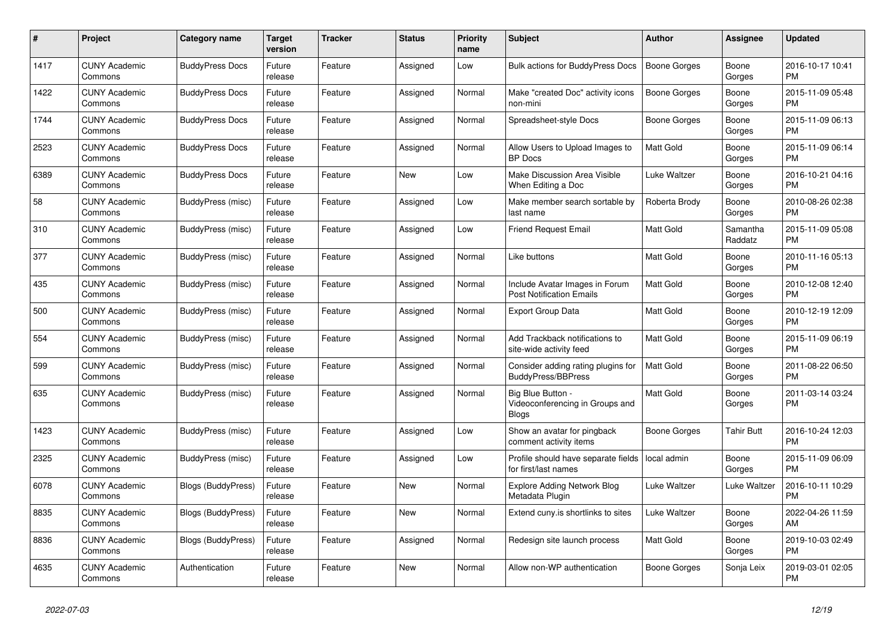| #    | Project                         | <b>Category name</b>      | <b>Target</b><br>version | <b>Tracker</b> | <b>Status</b> | <b>Priority</b><br>name | <b>Subject</b>                                                    | <b>Author</b>       | Assignee            | <b>Updated</b>                |
|------|---------------------------------|---------------------------|--------------------------|----------------|---------------|-------------------------|-------------------------------------------------------------------|---------------------|---------------------|-------------------------------|
| 1417 | <b>CUNY Academic</b><br>Commons | <b>BuddyPress Docs</b>    | Future<br>release        | Feature        | Assigned      | Low                     | <b>Bulk actions for BuddyPress Docs</b>                           | <b>Boone Gorges</b> | Boone<br>Gorges     | 2016-10-17 10:41<br><b>PM</b> |
| 1422 | <b>CUNY Academic</b><br>Commons | <b>BuddyPress Docs</b>    | Future<br>release        | Feature        | Assigned      | Normal                  | Make "created Doc" activity icons<br>non-mini                     | Boone Gorges        | Boone<br>Gorges     | 2015-11-09 05:48<br><b>PM</b> |
| 1744 | <b>CUNY Academic</b><br>Commons | <b>BuddyPress Docs</b>    | Future<br>release        | Feature        | Assigned      | Normal                  | Spreadsheet-style Docs                                            | Boone Gorges        | Boone<br>Gorges     | 2015-11-09 06:13<br><b>PM</b> |
| 2523 | <b>CUNY Academic</b><br>Commons | <b>BuddyPress Docs</b>    | Future<br>release        | Feature        | Assigned      | Normal                  | Allow Users to Upload Images to<br><b>BP</b> Docs                 | <b>Matt Gold</b>    | Boone<br>Gorges     | 2015-11-09 06:14<br><b>PM</b> |
| 6389 | <b>CUNY Academic</b><br>Commons | <b>BuddyPress Docs</b>    | Future<br>release        | Feature        | New           | Low                     | Make Discussion Area Visible<br>When Editing a Doc                | Luke Waltzer        | Boone<br>Gorges     | 2016-10-21 04:16<br><b>PM</b> |
| 58   | <b>CUNY Academic</b><br>Commons | BuddyPress (misc)         | Future<br>release        | Feature        | Assigned      | Low                     | Make member search sortable by<br>last name                       | Roberta Brody       | Boone<br>Gorges     | 2010-08-26 02:38<br><b>PM</b> |
| 310  | <b>CUNY Academic</b><br>Commons | <b>BuddyPress (misc)</b>  | Future<br>release        | Feature        | Assigned      | Low                     | <b>Friend Request Email</b>                                       | <b>Matt Gold</b>    | Samantha<br>Raddatz | 2015-11-09 05:08<br><b>PM</b> |
| 377  | <b>CUNY Academic</b><br>Commons | BuddyPress (misc)         | Future<br>release        | Feature        | Assigned      | Normal                  | Like buttons                                                      | <b>Matt Gold</b>    | Boone<br>Gorges     | 2010-11-16 05:13<br><b>PM</b> |
| 435  | <b>CUNY Academic</b><br>Commons | BuddyPress (misc)         | Future<br>release        | Feature        | Assigned      | Normal                  | Include Avatar Images in Forum<br><b>Post Notification Emails</b> | <b>Matt Gold</b>    | Boone<br>Gorges     | 2010-12-08 12:40<br><b>PM</b> |
| 500  | <b>CUNY Academic</b><br>Commons | BuddyPress (misc)         | Future<br>release        | Feature        | Assigned      | Normal                  | <b>Export Group Data</b>                                          | Matt Gold           | Boone<br>Gorges     | 2010-12-19 12:09<br><b>PM</b> |
| 554  | <b>CUNY Academic</b><br>Commons | <b>BuddyPress (misc)</b>  | Future<br>release        | Feature        | Assigned      | Normal                  | Add Trackback notifications to<br>site-wide activity feed         | Matt Gold           | Boone<br>Gorges     | 2015-11-09 06:19<br><b>PM</b> |
| 599  | <b>CUNY Academic</b><br>Commons | BuddyPress (misc)         | Future<br>release        | Feature        | Assigned      | Normal                  | Consider adding rating plugins for<br><b>BuddyPress/BBPress</b>   | <b>Matt Gold</b>    | Boone<br>Gorges     | 2011-08-22 06:50<br><b>PM</b> |
| 635  | <b>CUNY Academic</b><br>Commons | BuddyPress (misc)         | Future<br>release        | Feature        | Assigned      | Normal                  | Big Blue Button<br>Videoconferencing in Groups and<br>Blogs       | Matt Gold           | Boone<br>Gorges     | 2011-03-14 03:24<br><b>PM</b> |
| 1423 | <b>CUNY Academic</b><br>Commons | BuddyPress (misc)         | Future<br>release        | Feature        | Assigned      | Low                     | Show an avatar for pingback<br>comment activity items             | Boone Gorges        | <b>Tahir Butt</b>   | 2016-10-24 12:03<br><b>PM</b> |
| 2325 | <b>CUNY Academic</b><br>Commons | BuddyPress (misc)         | Future<br>release        | Feature        | Assigned      | Low                     | Profile should have separate fields<br>for first/last names       | local admin         | Boone<br>Gorges     | 2015-11-09 06:09<br>PM        |
| 6078 | <b>CUNY Academic</b><br>Commons | Blogs (BuddyPress)        | Future<br>release        | Feature        | New           | Normal                  | <b>Explore Adding Network Blog</b><br>Metadata Plugin             | Luke Waltzer        | Luke Waltzer        | 2016-10-11 10:29<br><b>PM</b> |
| 8835 | <b>CUNY Academic</b><br>Commons | Blogs (BuddyPress)        | Future<br>release        | Feature        | <b>New</b>    | Normal                  | Extend cuny is shortlinks to sites                                | Luke Waltzer        | Boone<br>Gorges     | 2022-04-26 11:59<br>AM        |
| 8836 | <b>CUNY Academic</b><br>Commons | <b>Blogs (BuddyPress)</b> | Future<br>release        | Feature        | Assigned      | Normal                  | Redesign site launch process                                      | Matt Gold           | Boone<br>Gorges     | 2019-10-03 02:49<br><b>PM</b> |
| 4635 | <b>CUNY Academic</b><br>Commons | Authentication            | Future<br>release        | Feature        | <b>New</b>    | Normal                  | Allow non-WP authentication                                       | Boone Gorges        | Sonja Leix          | 2019-03-01 02:05<br><b>PM</b> |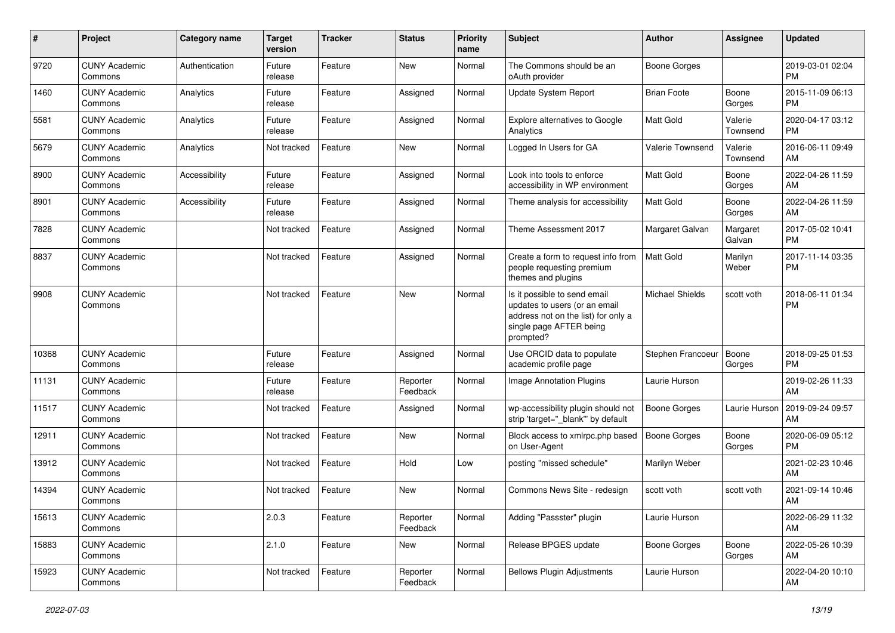| $\#$  | Project                         | <b>Category name</b> | <b>Target</b><br>version | <b>Tracker</b> | <b>Status</b>        | Priority<br>name | <b>Subject</b>                                                                                                                               | <b>Author</b>          | <b>Assignee</b>     | <b>Updated</b>                |
|-------|---------------------------------|----------------------|--------------------------|----------------|----------------------|------------------|----------------------------------------------------------------------------------------------------------------------------------------------|------------------------|---------------------|-------------------------------|
| 9720  | <b>CUNY Academic</b><br>Commons | Authentication       | Future<br>release        | Feature        | New                  | Normal           | The Commons should be an<br>oAuth provider                                                                                                   | <b>Boone Gorges</b>    |                     | 2019-03-01 02:04<br>PM.       |
| 1460  | <b>CUNY Academic</b><br>Commons | Analytics            | Future<br>release        | Feature        | Assigned             | Normal           | Update System Report                                                                                                                         | <b>Brian Foote</b>     | Boone<br>Gorges     | 2015-11-09 06:13<br><b>PM</b> |
| 5581  | <b>CUNY Academic</b><br>Commons | Analytics            | Future<br>release        | Feature        | Assigned             | Normal           | <b>Explore alternatives to Google</b><br>Analytics                                                                                           | Matt Gold              | Valerie<br>Townsend | 2020-04-17 03:12<br><b>PM</b> |
| 5679  | <b>CUNY Academic</b><br>Commons | Analytics            | Not tracked              | Feature        | New                  | Normal           | Logged In Users for GA                                                                                                                       | Valerie Townsend       | Valerie<br>Townsend | 2016-06-11 09:49<br>AM        |
| 8900  | <b>CUNY Academic</b><br>Commons | Accessibility        | Future<br>release        | Feature        | Assigned             | Normal           | Look into tools to enforce<br>accessibility in WP environment                                                                                | <b>Matt Gold</b>       | Boone<br>Gorges     | 2022-04-26 11:59<br>AM        |
| 8901  | <b>CUNY Academic</b><br>Commons | Accessibility        | Future<br>release        | Feature        | Assigned             | Normal           | Theme analysis for accessibility                                                                                                             | <b>Matt Gold</b>       | Boone<br>Gorges     | 2022-04-26 11:59<br>AM        |
| 7828  | <b>CUNY Academic</b><br>Commons |                      | Not tracked              | Feature        | Assigned             | Normal           | Theme Assessment 2017                                                                                                                        | Margaret Galvan        | Margaret<br>Galvan  | 2017-05-02 10:41<br><b>PM</b> |
| 8837  | <b>CUNY Academic</b><br>Commons |                      | Not tracked              | Feature        | Assigned             | Normal           | Create a form to request info from<br>people requesting premium<br>themes and plugins                                                        | <b>Matt Gold</b>       | Marilyn<br>Weber    | 2017-11-14 03:35<br>PM.       |
| 9908  | <b>CUNY Academic</b><br>Commons |                      | Not tracked              | Feature        | <b>New</b>           | Normal           | Is it possible to send email<br>updates to users (or an email<br>address not on the list) for only a<br>single page AFTER being<br>prompted? | <b>Michael Shields</b> | scott voth          | 2018-06-11 01:34<br>PM        |
| 10368 | <b>CUNY Academic</b><br>Commons |                      | Future<br>release        | Feature        | Assigned             | Normal           | Use ORCID data to populate<br>academic profile page                                                                                          | Stephen Francoeur      | Boone<br>Gorges     | 2018-09-25 01:53<br><b>PM</b> |
| 11131 | <b>CUNY Academic</b><br>Commons |                      | Future<br>release        | Feature        | Reporter<br>Feedback | Normal           | Image Annotation Plugins                                                                                                                     | Laurie Hurson          |                     | 2019-02-26 11:33<br>AM        |
| 11517 | <b>CUNY Academic</b><br>Commons |                      | Not tracked              | Feature        | Assigned             | Normal           | wp-accessibility plugin should not<br>strip 'target="_blank"' by default                                                                     | Boone Gorges           | Laurie Hurson       | 2019-09-24 09:57<br>AM        |
| 12911 | <b>CUNY Academic</b><br>Commons |                      | Not tracked              | Feature        | New                  | Normal           | Block access to xmlrpc.php based<br>on User-Agent                                                                                            | <b>Boone Gorges</b>    | Boone<br>Gorges     | 2020-06-09 05:12<br><b>PM</b> |
| 13912 | <b>CUNY Academic</b><br>Commons |                      | Not tracked              | Feature        | Hold                 | Low              | posting "missed schedule"                                                                                                                    | Marilyn Weber          |                     | 2021-02-23 10:46<br>AM        |
| 14394 | <b>CUNY Academic</b><br>Commons |                      | Not tracked              | Feature        | New                  | Normal           | Commons News Site - redesign                                                                                                                 | scott voth             | scott voth          | 2021-09-14 10:46<br>AM        |
| 15613 | <b>CUNY Academic</b><br>Commons |                      | 2.0.3                    | Feature        | Reporter<br>Feedback | Normal           | Adding "Passster" plugin                                                                                                                     | Laurie Hurson          |                     | 2022-06-29 11:32<br>AM        |
| 15883 | <b>CUNY Academic</b><br>Commons |                      | 2.1.0                    | Feature        | New                  | Normal           | Release BPGES update                                                                                                                         | Boone Gorges           | Boone<br>Gorges     | 2022-05-26 10:39<br>AM        |
| 15923 | <b>CUNY Academic</b><br>Commons |                      | Not tracked              | Feature        | Reporter<br>Feedback | Normal           | <b>Bellows Plugin Adjustments</b>                                                                                                            | Laurie Hurson          |                     | 2022-04-20 10:10<br>AM        |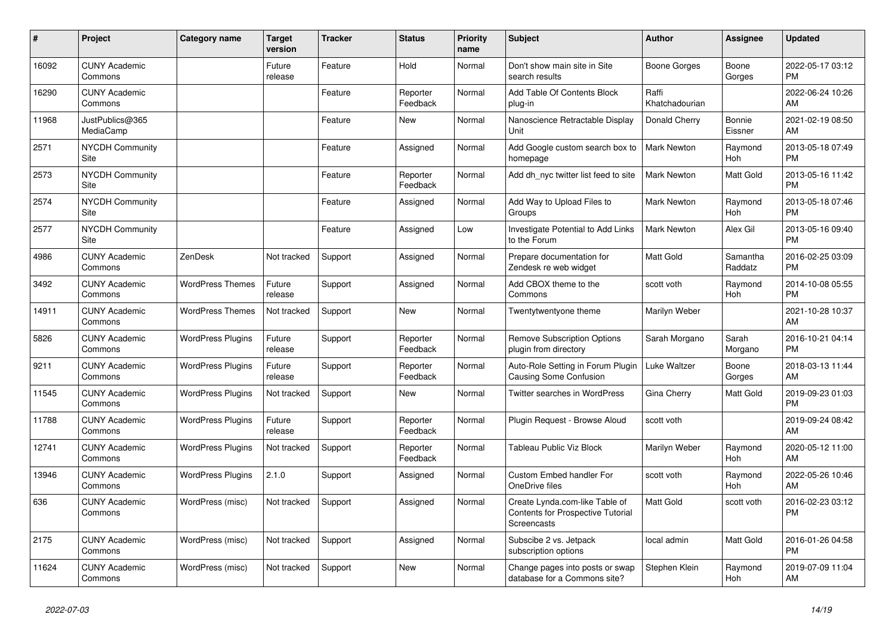| #     | Project                         | <b>Category name</b>     | <b>Target</b><br>version | <b>Tracker</b> | <b>Status</b>        | <b>Priority</b><br>name | <b>Subject</b>                                                                     | <b>Author</b>           | <b>Assignee</b>     | <b>Updated</b>                |
|-------|---------------------------------|--------------------------|--------------------------|----------------|----------------------|-------------------------|------------------------------------------------------------------------------------|-------------------------|---------------------|-------------------------------|
| 16092 | <b>CUNY Academic</b><br>Commons |                          | Future<br>release        | Feature        | Hold                 | Normal                  | Don't show main site in Site<br>search results                                     | Boone Gorges            | Boone<br>Gorges     | 2022-05-17 03:12<br><b>PM</b> |
| 16290 | <b>CUNY Academic</b><br>Commons |                          |                          | Feature        | Reporter<br>Feedback | Normal                  | Add Table Of Contents Block<br>plug-in                                             | Raffi<br>Khatchadourian |                     | 2022-06-24 10:26<br>AM        |
| 11968 | JustPublics@365<br>MediaCamp    |                          |                          | Feature        | <b>New</b>           | Normal                  | Nanoscience Retractable Display<br>Unit                                            | Donald Cherry           | Bonnie<br>Eissner   | 2021-02-19 08:50<br>AM        |
| 2571  | <b>NYCDH Community</b><br>Site  |                          |                          | Feature        | Assigned             | Normal                  | Add Google custom search box to<br>homepage                                        | <b>Mark Newton</b>      | Raymond<br>Hoh      | 2013-05-18 07:49<br><b>PM</b> |
| 2573  | <b>NYCDH Community</b><br>Site  |                          |                          | Feature        | Reporter<br>Feedback | Normal                  | Add dh nyc twitter list feed to site                                               | Mark Newton             | Matt Gold           | 2013-05-16 11:42<br><b>PM</b> |
| 2574  | <b>NYCDH Community</b><br>Site  |                          |                          | Feature        | Assigned             | Normal                  | Add Way to Upload Files to<br>Groups                                               | <b>Mark Newton</b>      | Raymond<br>Hoh      | 2013-05-18 07:46<br><b>PM</b> |
| 2577  | <b>NYCDH Community</b><br>Site  |                          |                          | Feature        | Assigned             | Low                     | Investigate Potential to Add Links<br>to the Forum                                 | <b>Mark Newton</b>      | Alex Gil            | 2013-05-16 09:40<br><b>PM</b> |
| 4986  | <b>CUNY Academic</b><br>Commons | ZenDesk                  | Not tracked              | Support        | Assigned             | Normal                  | Prepare documentation for<br>Zendesk re web widget                                 | <b>Matt Gold</b>        | Samantha<br>Raddatz | 2016-02-25 03:09<br><b>PM</b> |
| 3492  | <b>CUNY Academic</b><br>Commons | <b>WordPress Themes</b>  | Future<br>release        | Support        | Assigned             | Normal                  | Add CBOX theme to the<br>Commons                                                   | scott voth              | Raymond<br>Hoh      | 2014-10-08 05:55<br><b>PM</b> |
| 14911 | <b>CUNY Academic</b><br>Commons | <b>WordPress Themes</b>  | Not tracked              | Support        | New                  | Normal                  | Twentytwentyone theme                                                              | Marilyn Weber           |                     | 2021-10-28 10:37<br>AM        |
| 5826  | <b>CUNY Academic</b><br>Commons | <b>WordPress Plugins</b> | Future<br>release        | Support        | Reporter<br>Feedback | Normal                  | <b>Remove Subscription Options</b><br>plugin from directory                        | Sarah Morgano           | Sarah<br>Morgano    | 2016-10-21 04:14<br><b>PM</b> |
| 9211  | <b>CUNY Academic</b><br>Commons | <b>WordPress Plugins</b> | Future<br>release        | Support        | Reporter<br>Feedback | Normal                  | Auto-Role Setting in Forum Plugin<br><b>Causing Some Confusion</b>                 | Luke Waltzer            | Boone<br>Gorges     | 2018-03-13 11:44<br>AM        |
| 11545 | <b>CUNY Academic</b><br>Commons | <b>WordPress Plugins</b> | Not tracked              | Support        | New                  | Normal                  | Twitter searches in WordPress                                                      | Gina Cherry             | Matt Gold           | 2019-09-23 01:03<br><b>PM</b> |
| 11788 | <b>CUNY Academic</b><br>Commons | <b>WordPress Plugins</b> | Future<br>release        | Support        | Reporter<br>Feedback | Normal                  | Plugin Request - Browse Aloud                                                      | scott voth              |                     | 2019-09-24 08:42<br>AM        |
| 12741 | <b>CUNY Academic</b><br>Commons | <b>WordPress Plugins</b> | Not tracked              | Support        | Reporter<br>Feedback | Normal                  | Tableau Public Viz Block                                                           | Marilyn Weber           | Raymond<br>Hoh      | 2020-05-12 11:00<br>AM        |
| 13946 | <b>CUNY Academic</b><br>Commons | <b>WordPress Plugins</b> | 2.1.0                    | Support        | Assigned             | Normal                  | Custom Embed handler For<br>OneDrive files                                         | scott voth              | Raymond<br>Hoh      | 2022-05-26 10:46<br>AM        |
| 636   | <b>CUNY Academic</b><br>Commons | WordPress (misc)         | Not tracked              | Support        | Assigned             | Normal                  | Create Lynda.com-like Table of<br>Contents for Prospective Tutorial<br>Screencasts | Matt Gold               | scott voth          | 2016-02-23 03:12<br><b>PM</b> |
| 2175  | <b>CUNY Academic</b><br>Commons | WordPress (misc)         | Not tracked              | Support        | Assigned             | Normal                  | Subscibe 2 vs. Jetpack<br>subscription options                                     | local admin             | Matt Gold           | 2016-01-26 04:58<br><b>PM</b> |
| 11624 | <b>CUNY Academic</b><br>Commons | WordPress (misc)         | Not tracked              | Support        | <b>New</b>           | Normal                  | Change pages into posts or swap<br>database for a Commons site?                    | Stephen Klein           | Raymond<br>Hoh      | 2019-07-09 11:04<br>AM        |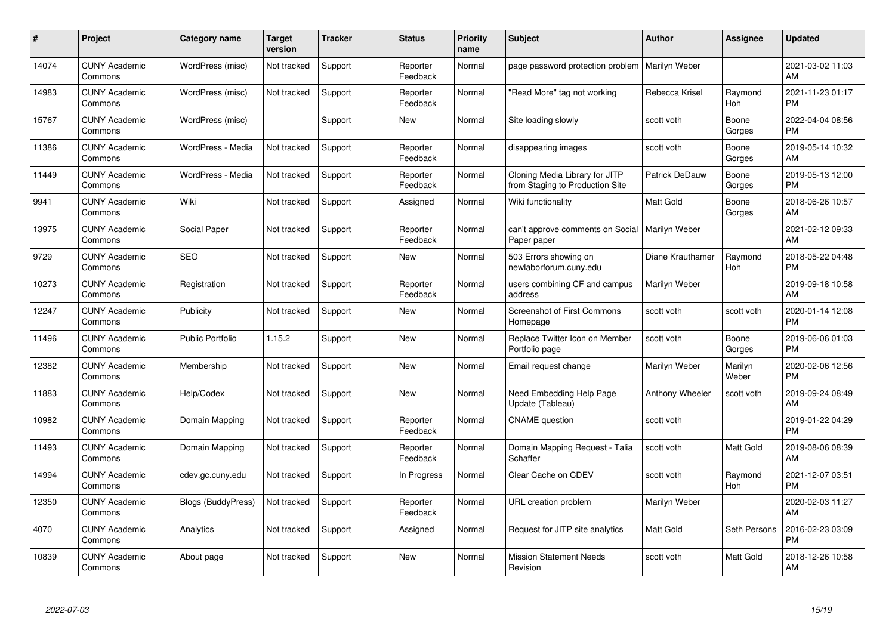| #     | Project                         | Category name             | <b>Target</b><br>version | <b>Tracker</b> | <b>Status</b>        | Priority<br>name | <b>Subject</b>                                                    | <b>Author</b>    | <b>Assignee</b>  | <b>Updated</b>                |
|-------|---------------------------------|---------------------------|--------------------------|----------------|----------------------|------------------|-------------------------------------------------------------------|------------------|------------------|-------------------------------|
| 14074 | <b>CUNY Academic</b><br>Commons | WordPress (misc)          | Not tracked              | Support        | Reporter<br>Feedback | Normal           | page password protection problem                                  | Marilyn Weber    |                  | 2021-03-02 11:03<br>AM        |
| 14983 | <b>CUNY Academic</b><br>Commons | WordPress (misc)          | Not tracked              | Support        | Reporter<br>Feedback | Normal           | "Read More" tag not working                                       | Rebecca Krisel   | Raymond<br>Hoh   | 2021-11-23 01:17<br><b>PM</b> |
| 15767 | <b>CUNY Academic</b><br>Commons | WordPress (misc)          |                          | Support        | <b>New</b>           | Normal           | Site loading slowly                                               | scott voth       | Boone<br>Gorges  | 2022-04-04 08:56<br><b>PM</b> |
| 11386 | <b>CUNY Academic</b><br>Commons | WordPress - Media         | Not tracked              | Support        | Reporter<br>Feedback | Normal           | disappearing images                                               | scott voth       | Boone<br>Gorges  | 2019-05-14 10:32<br>AM        |
| 11449 | <b>CUNY Academic</b><br>Commons | WordPress - Media         | Not tracked              | Support        | Reporter<br>Feedback | Normal           | Cloning Media Library for JITP<br>from Staging to Production Site | Patrick DeDauw   | Boone<br>Gorges  | 2019-05-13 12:00<br><b>PM</b> |
| 9941  | <b>CUNY Academic</b><br>Commons | Wiki                      | Not tracked              | Support        | Assigned             | Normal           | Wiki functionality                                                | <b>Matt Gold</b> | Boone<br>Gorges  | 2018-06-26 10:57<br>AM        |
| 13975 | <b>CUNY Academic</b><br>Commons | Social Paper              | Not tracked              | Support        | Reporter<br>Feedback | Normal           | can't approve comments on Social<br>Paper paper                   | Marilyn Weber    |                  | 2021-02-12 09:33<br>AM        |
| 9729  | <b>CUNY Academic</b><br>Commons | <b>SEO</b>                | Not tracked              | Support        | New                  | Normal           | 503 Errors showing on<br>newlaborforum.cuny.edu                   | Diane Krauthamer | Raymond<br>Hoh   | 2018-05-22 04:48<br><b>PM</b> |
| 10273 | <b>CUNY Academic</b><br>Commons | Registration              | Not tracked              | Support        | Reporter<br>Feedback | Normal           | users combining CF and campus<br>address                          | Marilyn Weber    |                  | 2019-09-18 10:58<br>AM        |
| 12247 | <b>CUNY Academic</b><br>Commons | Publicity                 | Not tracked              | Support        | New                  | Normal           | <b>Screenshot of First Commons</b><br>Homepage                    | scott voth       | scott voth       | 2020-01-14 12:08<br><b>PM</b> |
| 11496 | <b>CUNY Academic</b><br>Commons | Public Portfolio          | 1.15.2                   | Support        | New                  | Normal           | Replace Twitter Icon on Member<br>Portfolio page                  | scott voth       | Boone<br>Gorges  | 2019-06-06 01:03<br><b>PM</b> |
| 12382 | <b>CUNY Academic</b><br>Commons | Membership                | Not tracked              | Support        | New                  | Normal           | Email request change                                              | Marilyn Weber    | Marilyn<br>Weber | 2020-02-06 12:56<br><b>PM</b> |
| 11883 | <b>CUNY Academic</b><br>Commons | Help/Codex                | Not tracked              | Support        | New                  | Normal           | Need Embedding Help Page<br>Update (Tableau)                      | Anthony Wheeler  | scott voth       | 2019-09-24 08:49<br>AM        |
| 10982 | <b>CUNY Academic</b><br>Commons | Domain Mapping            | Not tracked              | Support        | Reporter<br>Feedback | Normal           | <b>CNAME</b> question                                             | scott voth       |                  | 2019-01-22 04:29<br><b>PM</b> |
| 11493 | <b>CUNY Academic</b><br>Commons | Domain Mapping            | Not tracked              | Support        | Reporter<br>Feedback | Normal           | Domain Mapping Request - Talia<br>Schaffer                        | scott voth       | Matt Gold        | 2019-08-06 08:39<br>AM        |
| 14994 | <b>CUNY Academic</b><br>Commons | cdev.gc.cuny.edu          | Not tracked              | Support        | In Progress          | Normal           | Clear Cache on CDEV                                               | scott voth       | Raymond<br>Hoh   | 2021-12-07 03:51<br><b>PM</b> |
| 12350 | <b>CUNY Academic</b><br>Commons | <b>Blogs (BuddyPress)</b> | Not tracked              | Support        | Reporter<br>Feedback | Normal           | URL creation problem                                              | Marilyn Weber    |                  | 2020-02-03 11:27<br>AM        |
| 4070  | <b>CUNY Academic</b><br>Commons | Analytics                 | Not tracked              | Support        | Assigned             | Normal           | Request for JITP site analytics                                   | <b>Matt Gold</b> | Seth Persons     | 2016-02-23 03:09<br><b>PM</b> |
| 10839 | CUNY Academic<br>Commons        | About page                | Not tracked              | Support        | <b>New</b>           | Normal           | <b>Mission Statement Needs</b><br>Revision                        | scott voth       | Matt Gold        | 2018-12-26 10:58<br>AM        |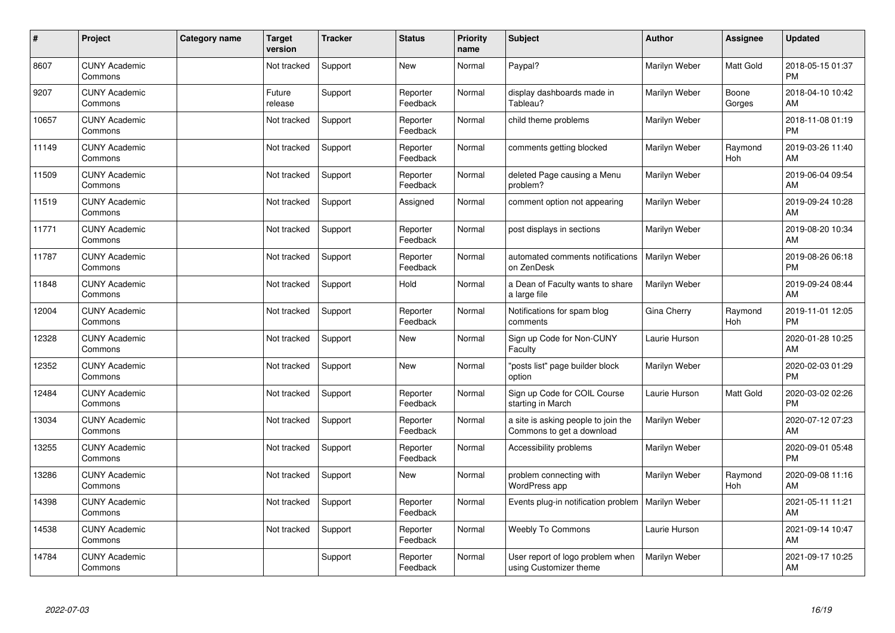| #     | Project                         | Category name | <b>Target</b><br>version | <b>Tracker</b> | <b>Status</b>        | <b>Priority</b><br>name | <b>Subject</b>                                                   | <b>Author</b> | Assignee        | <b>Updated</b>                |
|-------|---------------------------------|---------------|--------------------------|----------------|----------------------|-------------------------|------------------------------------------------------------------|---------------|-----------------|-------------------------------|
| 8607  | <b>CUNY Academic</b><br>Commons |               | Not tracked              | Support        | <b>New</b>           | Normal                  | Paypal?                                                          | Marilyn Weber | Matt Gold       | 2018-05-15 01:37<br><b>PM</b> |
| 9207  | <b>CUNY Academic</b><br>Commons |               | Future<br>release        | Support        | Reporter<br>Feedback | Normal                  | display dashboards made in<br>Tableau?                           | Marilyn Weber | Boone<br>Gorges | 2018-04-10 10:42<br>AM        |
| 10657 | <b>CUNY Academic</b><br>Commons |               | Not tracked              | Support        | Reporter<br>Feedback | Normal                  | child theme problems                                             | Marilyn Weber |                 | 2018-11-08 01:19<br><b>PM</b> |
| 11149 | <b>CUNY Academic</b><br>Commons |               | Not tracked              | Support        | Reporter<br>Feedback | Normal                  | comments getting blocked                                         | Marilyn Weber | Raymond<br>Hoh  | 2019-03-26 11:40<br>AM        |
| 11509 | <b>CUNY Academic</b><br>Commons |               | Not tracked              | Support        | Reporter<br>Feedback | Normal                  | deleted Page causing a Menu<br>problem?                          | Marilyn Weber |                 | 2019-06-04 09:54<br>AM        |
| 11519 | <b>CUNY Academic</b><br>Commons |               | Not tracked              | Support        | Assigned             | Normal                  | comment option not appearing                                     | Marilyn Weber |                 | 2019-09-24 10:28<br>AM        |
| 11771 | <b>CUNY Academic</b><br>Commons |               | Not tracked              | Support        | Reporter<br>Feedback | Normal                  | post displays in sections                                        | Marilyn Weber |                 | 2019-08-20 10:34<br>AM        |
| 11787 | <b>CUNY Academic</b><br>Commons |               | Not tracked              | Support        | Reporter<br>Feedback | Normal                  | automated comments notifications<br>on ZenDesk                   | Marilyn Weber |                 | 2019-08-26 06:18<br><b>PM</b> |
| 11848 | <b>CUNY Academic</b><br>Commons |               | Not tracked              | Support        | Hold                 | Normal                  | a Dean of Faculty wants to share<br>a large file                 | Marilyn Weber |                 | 2019-09-24 08:44<br>AM        |
| 12004 | <b>CUNY Academic</b><br>Commons |               | Not tracked              | Support        | Reporter<br>Feedback | Normal                  | Notifications for spam blog<br>comments                          | Gina Cherry   | Raymond<br>Hoh  | 2019-11-01 12:05<br><b>PM</b> |
| 12328 | <b>CUNY Academic</b><br>Commons |               | Not tracked              | Support        | <b>New</b>           | Normal                  | Sign up Code for Non-CUNY<br>Faculty                             | Laurie Hurson |                 | 2020-01-28 10:25<br>AM        |
| 12352 | <b>CUNY Academic</b><br>Commons |               | Not tracked              | Support        | <b>New</b>           | Normal                  | "posts list" page builder block<br>option                        | Marilyn Weber |                 | 2020-02-03 01:29<br><b>PM</b> |
| 12484 | <b>CUNY Academic</b><br>Commons |               | Not tracked              | Support        | Reporter<br>Feedback | Normal                  | Sign up Code for COIL Course<br>starting in March                | Laurie Hurson | Matt Gold       | 2020-03-02 02:26<br><b>PM</b> |
| 13034 | <b>CUNY Academic</b><br>Commons |               | Not tracked              | Support        | Reporter<br>Feedback | Normal                  | a site is asking people to join the<br>Commons to get a download | Marilyn Weber |                 | 2020-07-12 07:23<br>AM        |
| 13255 | <b>CUNY Academic</b><br>Commons |               | Not tracked              | Support        | Reporter<br>Feedback | Normal                  | Accessibility problems                                           | Marilyn Weber |                 | 2020-09-01 05:48<br><b>PM</b> |
| 13286 | <b>CUNY Academic</b><br>Commons |               | Not tracked              | Support        | <b>New</b>           | Normal                  | problem connecting with<br>WordPress app                         | Marilyn Weber | Raymond<br>Hoh  | 2020-09-08 11:16<br>AM        |
| 14398 | <b>CUNY Academic</b><br>Commons |               | Not tracked              | Support        | Reporter<br>Feedback | Normal                  | Events plug-in notification problem   Marilyn Weber              |               |                 | 2021-05-11 11:21<br>AM        |
| 14538 | <b>CUNY Academic</b><br>Commons |               | Not tracked              | Support        | Reporter<br>Feedback | Normal                  | <b>Weebly To Commons</b>                                         | Laurie Hurson |                 | 2021-09-14 10:47<br>AM        |
| 14784 | <b>CUNY Academic</b><br>Commons |               |                          | Support        | Reporter<br>Feedback | Normal                  | User report of logo problem when<br>using Customizer theme       | Marilyn Weber |                 | 2021-09-17 10:25<br>AM        |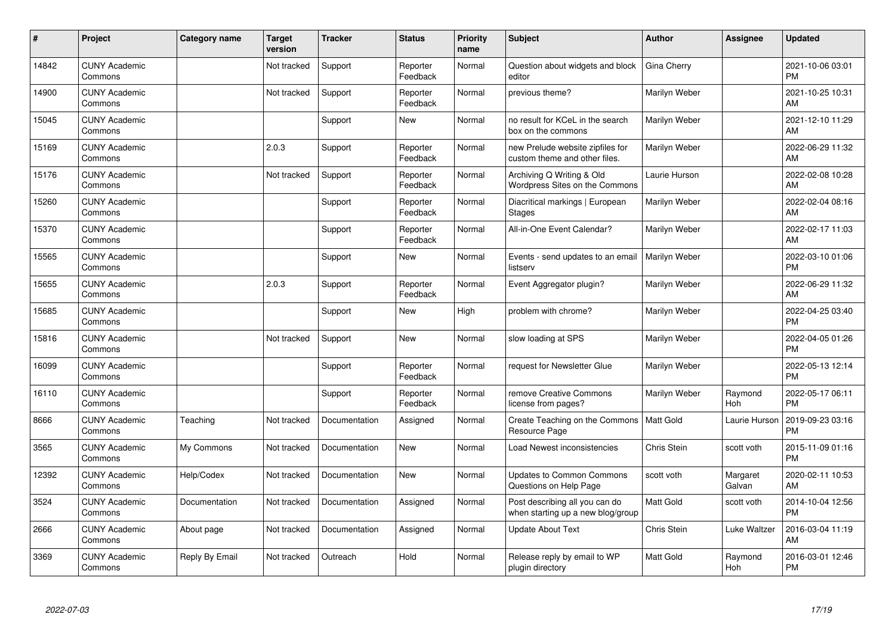| ∦     | Project                         | <b>Category name</b> | <b>Target</b><br>version | <b>Tracker</b> | <b>Status</b>        | <b>Priority</b><br>name | <b>Subject</b>                                                      | <b>Author</b>    | <b>Assignee</b>    | <b>Updated</b>                |
|-------|---------------------------------|----------------------|--------------------------|----------------|----------------------|-------------------------|---------------------------------------------------------------------|------------------|--------------------|-------------------------------|
| 14842 | <b>CUNY Academic</b><br>Commons |                      | Not tracked              | Support        | Reporter<br>Feedback | Normal                  | Question about widgets and block<br>editor                          | Gina Cherry      |                    | 2021-10-06 03:01<br><b>PM</b> |
| 14900 | <b>CUNY Academic</b><br>Commons |                      | Not tracked              | Support        | Reporter<br>Feedback | Normal                  | previous theme?                                                     | Marilyn Weber    |                    | 2021-10-25 10:31<br>AM        |
| 15045 | <b>CUNY Academic</b><br>Commons |                      |                          | Support        | <b>New</b>           | Normal                  | no result for KCeL in the search<br>box on the commons              | Marilyn Weber    |                    | 2021-12-10 11:29<br>AM        |
| 15169 | <b>CUNY Academic</b><br>Commons |                      | 2.0.3                    | Support        | Reporter<br>Feedback | Normal                  | new Prelude website zipfiles for<br>custom theme and other files.   | Marilyn Weber    |                    | 2022-06-29 11:32<br>AM        |
| 15176 | <b>CUNY Academic</b><br>Commons |                      | Not tracked              | Support        | Reporter<br>Feedback | Normal                  | Archiving Q Writing & Old<br>Wordpress Sites on the Commons         | Laurie Hurson    |                    | 2022-02-08 10:28<br>AM        |
| 15260 | <b>CUNY Academic</b><br>Commons |                      |                          | Support        | Reporter<br>Feedback | Normal                  | Diacritical markings   European<br><b>Stages</b>                    | Marilyn Weber    |                    | 2022-02-04 08:16<br>AM        |
| 15370 | <b>CUNY Academic</b><br>Commons |                      |                          | Support        | Reporter<br>Feedback | Normal                  | All-in-One Event Calendar?                                          | Marilyn Weber    |                    | 2022-02-17 11:03<br>AM        |
| 15565 | <b>CUNY Academic</b><br>Commons |                      |                          | Support        | <b>New</b>           | Normal                  | Events - send updates to an email<br>listserv                       | Marilyn Weber    |                    | 2022-03-10 01:06<br><b>PM</b> |
| 15655 | <b>CUNY Academic</b><br>Commons |                      | 2.0.3                    | Support        | Reporter<br>Feedback | Normal                  | Event Aggregator plugin?                                            | Marilyn Weber    |                    | 2022-06-29 11:32<br>AM        |
| 15685 | <b>CUNY Academic</b><br>Commons |                      |                          | Support        | <b>New</b>           | High                    | problem with chrome?                                                | Marilyn Weber    |                    | 2022-04-25 03:40<br><b>PM</b> |
| 15816 | <b>CUNY Academic</b><br>Commons |                      | Not tracked              | Support        | <b>New</b>           | Normal                  | slow loading at SPS                                                 | Marilyn Weber    |                    | 2022-04-05 01:26<br><b>PM</b> |
| 16099 | <b>CUNY Academic</b><br>Commons |                      |                          | Support        | Reporter<br>Feedback | Normal                  | request for Newsletter Glue                                         | Marilyn Weber    |                    | 2022-05-13 12:14<br><b>PM</b> |
| 16110 | <b>CUNY Academic</b><br>Commons |                      |                          | Support        | Reporter<br>Feedback | Normal                  | remove Creative Commons<br>license from pages?                      | Marilyn Weber    | Raymond<br>Hoh     | 2022-05-17 06:11<br><b>PM</b> |
| 8666  | <b>CUNY Academic</b><br>Commons | Teaching             | Not tracked              | Documentation  | Assigned             | Normal                  | Create Teaching on the Commons<br>Resource Page                     | Matt Gold        | Laurie Hurson      | 2019-09-23 03:16<br><b>PM</b> |
| 3565  | <b>CUNY Academic</b><br>Commons | My Commons           | Not tracked              | Documentation  | New                  | Normal                  | Load Newest inconsistencies                                         | Chris Stein      | scott voth         | 2015-11-09 01:16<br><b>PM</b> |
| 12392 | <b>CUNY Academic</b><br>Commons | Help/Codex           | Not tracked              | Documentation  | <b>New</b>           | Normal                  | Updates to Common Commons<br>Questions on Help Page                 | scott voth       | Margaret<br>Galvan | 2020-02-11 10:53<br>AM        |
| 3524  | <b>CUNY Academic</b><br>Commons | Documentation        | Not tracked              | Documentation  | Assigned             | Normal                  | Post describing all you can do<br>when starting up a new blog/group | <b>Matt Gold</b> | scott voth         | 2014-10-04 12:56<br><b>PM</b> |
| 2666  | <b>CUNY Academic</b><br>Commons | About page           | Not tracked              | Documentation  | Assigned             | Normal                  | <b>Update About Text</b>                                            | Chris Stein      | Luke Waltzer       | 2016-03-04 11:19<br>AM        |
| 3369  | <b>CUNY Academic</b><br>Commons | Reply By Email       | Not tracked              | Outreach       | Hold                 | Normal                  | Release reply by email to WP<br>plugin directory                    | <b>Matt Gold</b> | Raymond<br>Hoh     | 2016-03-01 12:46<br>PM        |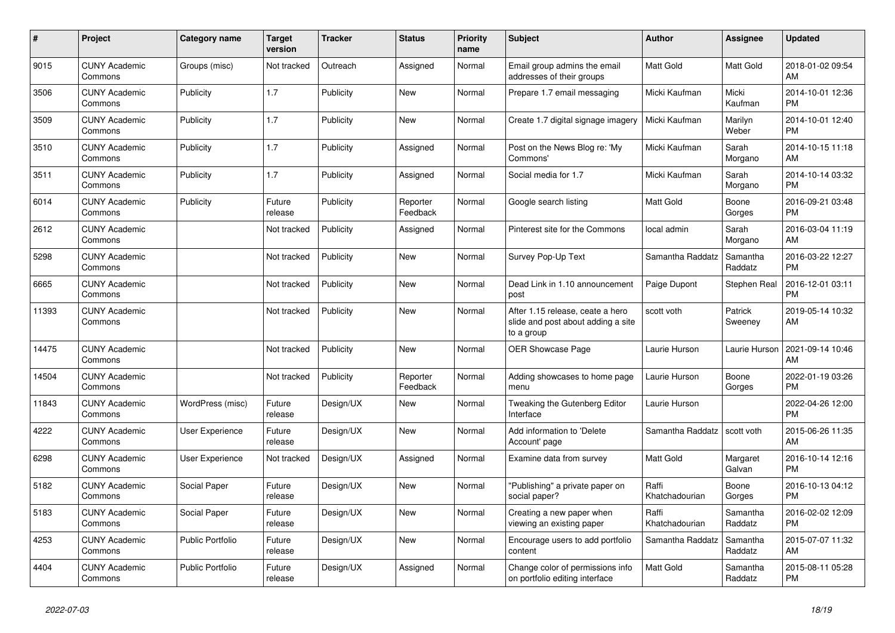| #     | Project                         | <b>Category name</b>    | <b>Target</b><br>version | <b>Tracker</b> | <b>Status</b>        | Priority<br>name | <b>Subject</b>                                                                       | <b>Author</b>           | Assignee            | <b>Updated</b>                |
|-------|---------------------------------|-------------------------|--------------------------|----------------|----------------------|------------------|--------------------------------------------------------------------------------------|-------------------------|---------------------|-------------------------------|
| 9015  | <b>CUNY Academic</b><br>Commons | Groups (misc)           | Not tracked              | Outreach       | Assigned             | Normal           | Email group admins the email<br>addresses of their groups                            | <b>Matt Gold</b>        | Matt Gold           | 2018-01-02 09:54<br>AM        |
| 3506  | <b>CUNY Academic</b><br>Commons | Publicity               | 1.7                      | Publicity      | New                  | Normal           | Prepare 1.7 email messaging                                                          | Micki Kaufman           | Micki<br>Kaufman    | 2014-10-01 12:36<br><b>PM</b> |
| 3509  | <b>CUNY Academic</b><br>Commons | Publicity               | 1.7                      | Publicity      | New                  | Normal           | Create 1.7 digital signage imagery                                                   | Micki Kaufman           | Marilyn<br>Weber    | 2014-10-01 12:40<br><b>PM</b> |
| 3510  | <b>CUNY Academic</b><br>Commons | Publicity               | 1.7                      | Publicity      | Assigned             | Normal           | Post on the News Blog re: 'My<br>Commons'                                            | Micki Kaufman           | Sarah<br>Morgano    | 2014-10-15 11:18<br>AM        |
| 3511  | <b>CUNY Academic</b><br>Commons | Publicity               | 1.7                      | Publicity      | Assigned             | Normal           | Social media for 1.7                                                                 | Micki Kaufman           | Sarah<br>Morgano    | 2014-10-14 03:32<br><b>PM</b> |
| 6014  | <b>CUNY Academic</b><br>Commons | Publicity               | Future<br>release        | Publicity      | Reporter<br>Feedback | Normal           | Google search listing                                                                | Matt Gold               | Boone<br>Gorges     | 2016-09-21 03:48<br><b>PM</b> |
| 2612  | <b>CUNY Academic</b><br>Commons |                         | Not tracked              | Publicity      | Assigned             | Normal           | Pinterest site for the Commons                                                       | local admin             | Sarah<br>Morgano    | 2016-03-04 11:19<br>AM        |
| 5298  | <b>CUNY Academic</b><br>Commons |                         | Not tracked              | Publicity      | <b>New</b>           | Normal           | Survey Pop-Up Text                                                                   | Samantha Raddatz        | Samantha<br>Raddatz | 2016-03-22 12:27<br><b>PM</b> |
| 6665  | <b>CUNY Academic</b><br>Commons |                         | Not tracked              | Publicity      | New                  | Normal           | Dead Link in 1.10 announcement<br>post                                               | Paige Dupont            | Stephen Real        | 2016-12-01 03:11<br><b>PM</b> |
| 11393 | <b>CUNY Academic</b><br>Commons |                         | Not tracked              | Publicity      | New                  | Normal           | After 1.15 release, ceate a hero<br>slide and post about adding a site<br>to a group | scott voth              | Patrick<br>Sweeney  | 2019-05-14 10:32<br>AM        |
| 14475 | <b>CUNY Academic</b><br>Commons |                         | Not tracked              | Publicity      | New                  | Normal           | <b>OER Showcase Page</b>                                                             | Laurie Hurson           | Laurie Hurson       | 2021-09-14 10:46<br>AM        |
| 14504 | <b>CUNY Academic</b><br>Commons |                         | Not tracked              | Publicity      | Reporter<br>Feedback | Normal           | Adding showcases to home page<br>menu                                                | Laurie Hurson           | Boone<br>Gorges     | 2022-01-19 03:26<br><b>PM</b> |
| 11843 | <b>CUNY Academic</b><br>Commons | WordPress (misc)        | Future<br>release        | Design/UX      | <b>New</b>           | Normal           | Tweaking the Gutenberg Editor<br>Interface                                           | Laurie Hurson           |                     | 2022-04-26 12:00<br><b>PM</b> |
| 4222  | <b>CUNY Academic</b><br>Commons | User Experience         | Future<br>release        | Design/UX      | New                  | Normal           | Add information to 'Delete<br>Account' page                                          | Samantha Raddatz        | scott voth          | 2015-06-26 11:35<br>AM        |
| 6298  | <b>CUNY Academic</b><br>Commons | User Experience         | Not tracked              | Design/UX      | Assigned             | Normal           | Examine data from survey                                                             | Matt Gold               | Margaret<br>Galvan  | 2016-10-14 12:16<br><b>PM</b> |
| 5182  | <b>CUNY Academic</b><br>Commons | Social Paper            | Future<br>release        | Design/UX      | <b>New</b>           | Normal           | "Publishing" a private paper on<br>social paper?                                     | Raffi<br>Khatchadourian | Boone<br>Gorges     | 2016-10-13 04:12<br><b>PM</b> |
| 5183  | <b>CUNY Academic</b><br>Commons | Social Paper            | Future<br>release        | Design/UX      | <b>New</b>           | Normal           | Creating a new paper when<br>viewing an existing paper                               | Raffi<br>Khatchadourian | Samantha<br>Raddatz | 2016-02-02 12:09<br><b>PM</b> |
| 4253  | <b>CUNY Academic</b><br>Commons | Public Portfolio        | Future<br>release        | Design/UX      | New                  | Normal           | Encourage users to add portfolio<br>content                                          | Samantha Raddatz        | Samantha<br>Raddatz | 2015-07-07 11:32<br>AM        |
| 4404  | <b>CUNY Academic</b><br>Commons | <b>Public Portfolio</b> | Future<br>release        | Design/UX      | Assigned             | Normal           | Change color of permissions info<br>on portfolio editing interface                   | <b>Matt Gold</b>        | Samantha<br>Raddatz | 2015-08-11 05:28<br><b>PM</b> |